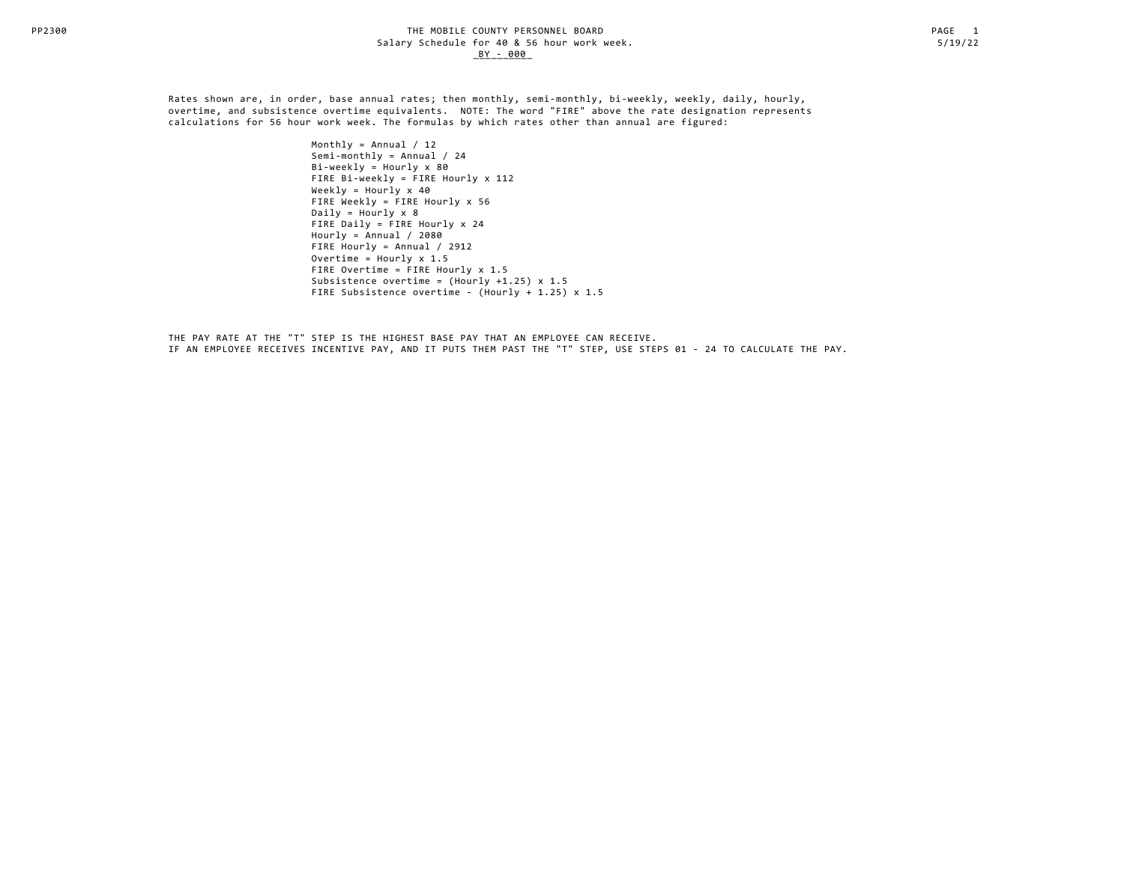Rates shown are, in order, base annual rates; then monthly, semi-monthly, bi-weekly, weekly, daily, hourly, overtime, and subsistence overtime equivalents. NOTE: The word "FIRE" above the rate designation represents calculations for 56 hour work week. The formulas by which rates other than annual are figured:

> Monthly = Annual  $/ 12$  Semi-monthly = Annual / 24  $Bi-weakly = Hourly \times 80$  FIRE Bi-weekly = FIRE Hourly x 112 Weekly =  $Hourly \times 40$  FIRE Weekly = FIRE Hourly x 56 Daily =  $Hourly \times 8$  FIRE Daily = FIRE Hourly x 24 Hourly =  $\text{Annual}$  / 2080 FIRE Hourly = Annual / 2912 Overtime =  $Hourlv \times 1.5$  FIRE Overtime = FIRE Hourly x 1.5 Subsistence overtime = (Hourly +1.25) x 1.5 FIRE Subsistence overtime - (Hourly + 1.25) x 1.5

 THE PAY RATE AT THE "T" STEP IS THE HIGHEST BASE PAY THAT AN EMPLOYEE CAN RECEIVE. IF AN EMPLOYEE RECEIVES INCENTIVE PAY, AND IT PUTS THEM PAST THE "T" STEP, USE STEPS 01 - 24 TO CALCULATE THE PAY.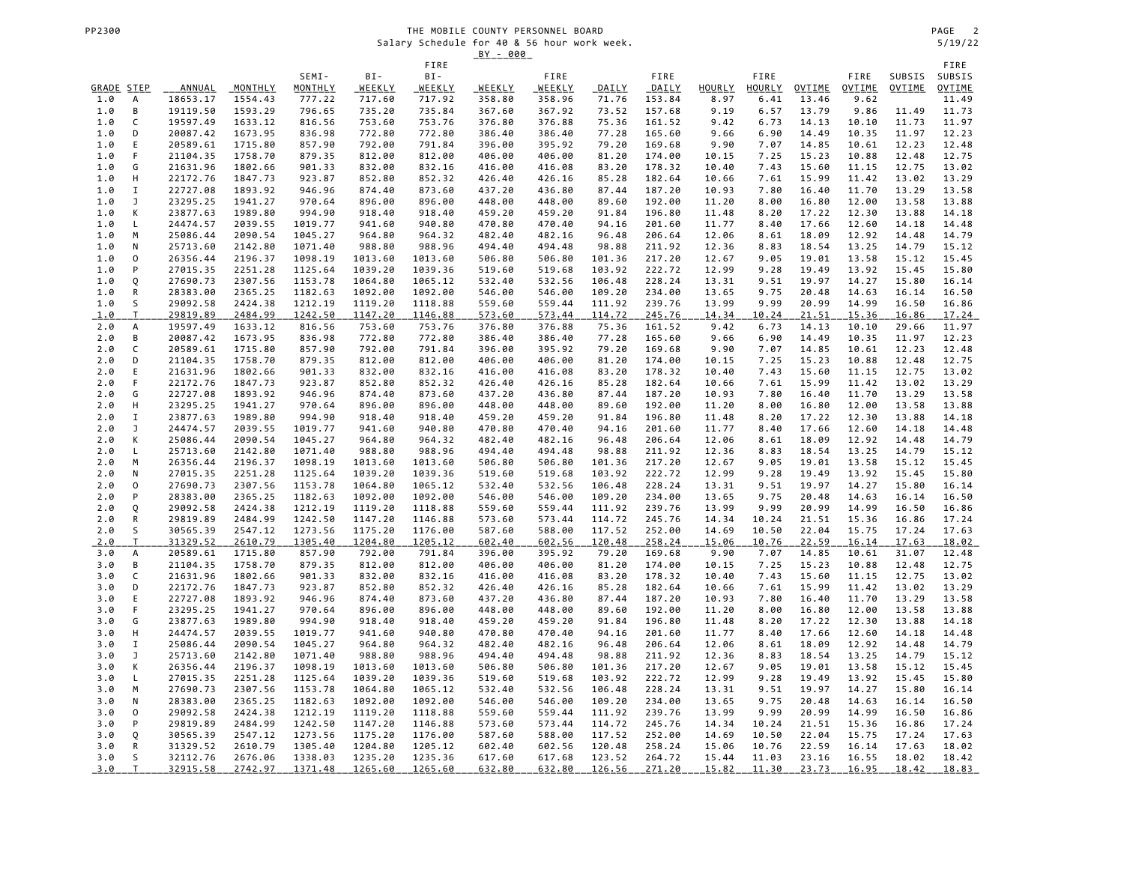|            |                     |                      |                    |                    |                    |                    | <u>BY - 000</u>  |                  |                  |                  |                |               |                |                |                |                |
|------------|---------------------|----------------------|--------------------|--------------------|--------------------|--------------------|------------------|------------------|------------------|------------------|----------------|---------------|----------------|----------------|----------------|----------------|
|            |                     |                      |                    | SEMI-              | BI-                | FIRE<br>BI-        |                  | FIRE             |                  | FIRE             |                | FIRE          |                | FIRE           | SUBSIS         | FIRE<br>SUBSIS |
| GRADE STEP |                     | <b>ANNUAL</b>        | MONTHLY            | MONTHLY            | <b>WEEKLY</b>      | <u>WEEKLY</u>      | <b>WEEKLY</b>    | <b>WEEKLY</b>    | <b>DAILY</b>     | DAILY            | <b>HOURLY</b>  | <b>HOURLY</b> | OVTIME         | <b>OVTIME</b>  | OVTIME         | <b>OVTIME</b>  |
| 1.0        | А                   | 18653.17             | 1554.43            | 777.22             | 717.60             | 717.92             | 358.80           | 358.96           | 71.76            | 153.84           | 8.97           | 6.41          | 13.46          | 9.62           |                | 11.49          |
| 1.0        | В                   | 19119.50             | 1593.29            | 796.65             | 735.20             | 735.84             | 367.60           | 367.92           | 73.52            | 157.68           | 9.19           | 6.57          | 13.79          | 9.86           | 11.49          | 11.73          |
| 1.0        | C                   | 19597.49             | 1633.12            | 816.56             | 753.60             | 753.76             | 376.80           | 376.88           | 75.36            | 161.52           | 9.42           | 6.73          | 14.13          | 10.10          | 11.73          | 11.97          |
| 1.0        | D                   | 20087.42             | 1673.95            | 836.98             | 772.80             | 772.80             | 386.40           | 386.40           | 77.28            | 165.60           | 9.66           | 6.90          | 14.49          | 10.35          | 11.97          | 12.23          |
| 1.0        | Ε                   | 20589.61             | 1715.80            | 857.90             | 792.00             | 791.84             | 396.00           | 395.92           | 79.20            | 169.68           | 9.90           | 7.07          | 14.85          | 10.61          | 12.23          | 12.48          |
| 1.0        | F                   | 21104.35             | 1758.70            | 879.35             | 812.00             | 812.00             | 406.00           | 406.00           | 81.20            | 174.00           | 10.15          | 7.25          | 15.23          | 10.88          | 12.48          | 12.75          |
| 1.0<br>1.0 | G<br>Н              | 21631.96<br>22172.76 | 1802.66<br>1847.73 | 901.33<br>923.87   | 832.00<br>852.80   | 832.16<br>852.32   | 416.00<br>426.40 | 416.08<br>426.16 | 83.20<br>85.28   | 178.32<br>182.64 | 10.40<br>10.66 | 7.43<br>7.61  | 15.60<br>15.99 | 11.15<br>11.42 | 12.75<br>13.02 | 13.02<br>13.29 |
| 1.0        | Ι.                  | 22727.08             | 1893.92            | 946.96             | 874.40             | 873.60             | 437.20           | 436.80           | 87.44            | 187.20           | 10.93          | 7.80          | 16.40          | 11.70          | 13.29          | 13.58          |
| 1.0        | J                   | 23295.25             | 1941.27            | 970.64             | 896.00             | 896.00             | 448.00           | 448.00           | 89.60            | 192.00           | 11.20          | 8.00          | 16.80          | 12.00          | 13.58          | 13.88          |
| 1.0        | К                   | 23877.63             | 1989.80            | 994.90             | 918.40             | 918.40             | 459.20           | 459.20           | 91.84            | 196.80           | 11.48          | 8.20          | 17.22          | 12.30          | 13.88          | 14.18          |
| 1.0        | L                   | 24474.57             | 2039.55            | 1019.77            | 941.60             | 940.80             | 470.80           | 470.40           | 94.16            | 201.60           | 11.77          | 8.40          | 17.66          | 12.60          | 14.18          | 14.48          |
| 1.0        | M                   | 25086.44             | 2090.54            | 1045.27            | 964.80             | 964.32             | 482.40           | 482.16           | 96.48            | 206.64           | 12.06          | 8.61          | 18.09          | 12.92          | 14.48          | 14.79          |
| 1.0        | N                   | 25713.60             | 2142.80            | 1071.40            | 988.80             | 988.96             | 494.40           | 494.48           | 98.88            | 211.92           | 12.36          | 8.83          | 18.54          | 13.25          | 14.79          | 15.12          |
| 1.0        | $\mathsf{O}\xspace$ | 26356.44             | 2196.37            | 1098.19            | 1013.60            | 1013.60            | 506.80           | 506.80           | 101.36           | 217.20           | 12.67          | 9.05          | 19.01          | 13.58          | 15.12          | 15.45          |
| 1.0<br>1.0 | P                   | 27015.35<br>27690.73 | 2251.28<br>2307.56 | 1125.64<br>1153.78 | 1039.20<br>1064.80 | 1039.36<br>1065.12 | 519.60<br>532.40 | 519.68<br>532.56 | 103.92<br>106.48 | 222.72<br>228.24 | 12.99<br>13.31 | 9.28<br>9.51  | 19.49<br>19.97 | 13.92<br>14.27 | 15.45<br>15.80 | 15.80<br>16.14 |
| 1.0        | Q<br>${\sf R}$      | 28383.00             | 2365.25            | 1182.63            | 1092.00            | 1092.00            | 546.00           | 546.00           | 109.20           | 234.00           | 13.65          | 9.75          | 20.48          | 14.63          | 16.14          | 16.50          |
| 1.0        | S                   | 29092.58             | 2424.38            | 1212.19            | 1119.20            | 1118.88            | 559.60           | 559.44           | 111.92           | 239.76           | 13.99          | 9.99          | 20.99          | 14.99          | 16.50          | 16.86          |
| 1.0        | T                   | 29819.89             | 2484.99            | 1242.50            | 1147.20            | 1146.88            | 573.60           | 573.44           | 114.72           | 245.76           | 14.34          | 10.24         | 21.51          | 15.36          | 16.86          | 17.24          |
| 2.0        | А                   | 19597.49             | 1633.12            | 816.56             | 753.60             | 753.76             | 376.80           | 376.88           | 75.36            | 161.52           | 9.42           | 6.73          | 14.13          | 10.10          | 29.66          | 11.97          |
| 2.0        | В                   | 20087.42             | 1673.95            | 836.98             | 772.80             | 772.80             | 386.40           | 386.40           | 77.28            | 165.60           | 9.66           | 6.90          | 14.49          | 10.35          | 11.97          | 12.23          |
| 2.0        | C                   | 20589.61             | 1715.80            | 857.90             | 792.00             | 791.84             | 396.00           | 395.92           | 79.20            | 169.68           | 9.90           | 7.07          | 14.85          | 10.61          | 12.23          | 12.48          |
| 2.0        | D                   | 21104.35             | 1758.70            | 879.35             | 812.00             | 812.00             | 406.00           | 406.00           | 81.20            | 174.00           | 10.15          | 7.25          | 15.23          | 10.88          | 12.48          | 12.75          |
| 2.0<br>2.0 | Ε<br>F              | 21631.96<br>22172.76 | 1802.66<br>1847.73 | 901.33<br>923.87   | 832.00<br>852.80   | 832.16<br>852.32   | 416.00<br>426.40 | 416.08<br>426.16 | 83.20<br>85.28   | 178.32<br>182.64 | 10.40<br>10.66 | 7.43<br>7.61  | 15.60<br>15.99 | 11.15<br>11.42 | 12.75<br>13.02 | 13.02<br>13.29 |
| 2.0        | G                   | 22727.08             | 1893.92            | 946.96             | 874.40             | 873.60             | 437.20           | 436.80           | 87.44            | 187.20           | 10.93          | 7.80          | 16.40          | 11.70          | 13.29          | 13.58          |
| 2.0        | н                   | 23295.25             | 1941.27            | 970.64             | 896.00             | 896.00             | 448.00           | 448.00           | 89.60            | 192.00           | 11.20          | 8.00          | 16.80          | 12.00          | 13.58          | 13.88          |
| 2.0        | $\mathbf I$         | 23877.63             | 1989.80            | 994.90             | 918.40             | 918.40             | 459.20           | 459.20           | 91.84            | 196.80           | 11.48          | 8.20          | 17.22          | 12.30          | 13.88          | 14.18          |
| 2.0        | J                   | 24474.57             | 2039.55            | 1019.77            | 941.60             | 940.80             | 470.80           | 470.40           | 94.16            | 201.60           | 11.77          | 8.40          | 17.66          | 12.60          | 14.18          | 14.48          |
| 2.0        | К                   | 25086.44             | 2090.54            | 1045.27            | 964.80             | 964.32             | 482.40           | 482.16           | 96.48            | 206.64           | 12.06          | 8.61          | 18.09          | 12.92          | 14.48          | 14.79          |
| 2.0        | Г                   | 25713.60             | 2142.80            | 1071.40            | 988.80             | 988.96             | 494.40           | 494.48           | 98.88            | 211.92           | 12.36          | 8.83          | 18.54          | 13.25          | 14.79          | 15.12          |
| 2.0        | M                   | 26356.44             | 2196.37            | 1098.19            | 1013.60            | 1013.60            | 506.80           | 506.80           | 101.36           | 217.20           | 12.67          | 9.05          | 19.01          | 13.58          | 15.12          | 15.45          |
| 2.0<br>2.0 | N<br>0              | 27015.35<br>27690.73 | 2251.28<br>2307.56 | 1125.64<br>1153.78 | 1039.20<br>1064.80 | 1039.36<br>1065.12 | 519.60<br>532.40 | 519.68<br>532.56 | 103.92<br>106.48 | 222.72<br>228.24 | 12.99<br>13.31 | 9.28<br>9.51  | 19.49<br>19.97 | 13.92<br>14.27 | 15.45<br>15.80 | 15.80<br>16.14 |
| 2.0        | ${\sf P}$           | 28383.00             | 2365.25            | 1182.63            | 1092.00            | 1092.00            | 546.00           | 546.00           | 109.20           | 234.00           | 13.65          | 9.75          | 20.48          | 14.63          | 16.14          | 16.50          |
| 2.0        | Q                   | 29092.58             | 2424.38            | 1212.19            | 1119.20            | 1118.88            | 559.60           | 559.44           | 111.92           | 239.76           | 13.99          | 9.99          | 20.99          | 14.99          | 16.50          | 16.86          |
| 2.0        | R                   | 29819.89             | 2484.99            | 1242.50            | 1147.20            | 1146.88            | 573.60           | 573.44           | 114.72           | 245.76           | 14.34          | 10.24         | 21.51          | 15.36          | 16.86          | 17.24          |
| 2.0        | S                   | 30565.39             | 2547.12            | 1273.56            | 1175.20            | 1176.00            | 587.60           | 588.00           | 117.52           | 252.00           | 14.69          | 10.50         | 22.04          | 15.75          | 17.24          | 17.63          |
| <u>2.0</u> | T.                  | 31329.52             | 2610.79            | 1305.40            | 1204.80            | 1205.12            | 602.40           | 602.56           | 120.48           | 258.24           | 15.06          | 10.76         | 22.59          | 16.14          | 17.63          | 18.02          |
| 3.0        | А                   | 20589.61             | 1715.80            | 857.90             | 792.00             | 791.84             | 396.00           | 395.92           | 79.20            | 169.68           | 9.90           | 7.07          | 14.85          | 10.61          | 31.07          | 12.48          |
| 3.0        | B                   | 21104.35             | 1758.70            | 879.35             | 812.00             | 812.00             | 406.00           | 406.00           | 81.20            | 174.00           | 10.15          | 7.25          | 15.23          | 10.88          | 12.48          | 12.75          |
| 3.0<br>3.0 | С<br>D              | 21631.96<br>22172.76 | 1802.66<br>1847.73 | 901.33<br>923.87   | 832.00<br>852.80   | 832.16<br>852.32   | 416.00<br>426.40 | 416.08<br>426.16 | 83.20<br>85.28   | 178.32<br>182.64 | 10.40<br>10.66 | 7.43<br>7.61  | 15.60<br>15.99 | 11.15<br>11.42 | 12.75<br>13.02 | 13.02<br>13.29 |
| 3.0        | E                   | 22727.08             | 1893.92            | 946.96             | 874.40             | 873.60             | 437.20           | 436.80           | 87.44            | 187.20           | 10.93          | 7.80          | 16.40          | 11.70          | 13.29          | 13.58          |
| 3.0        | F                   | 23295.25             | 1941.27            | 970.64             | 896.00             | 896.00             | 448.00           | 448.00           | 89.60            | 192.00           | 11.20          | 8.00          | 16.80          | 12.00          | 13.58          | 13.88          |
| 3.0        | G                   | 23877.63             | 1989.80            | 994.90             | 918.40             | 918.40             | 459.20           | 459.20           | 91.84            | 196.80           | 11.48          | 8.20          | 17.22          | 12.30          | 13.88          | 14.18          |
| 3.0        | Н                   | 24474.57             | 2039.55            | 1019.77            | 941.60             | 940.80             | 470.80           | 470.40           | 94.16            | 201.60           | 11.77          | 8.40          | 17.66          | 12.60          | 14.18          | 14.48          |
| 3.0        | I                   | 25086.44             | 2090.54            | 1045.27            | 964.80             | 964.32             | 482.40           | 482.16           | 96.48            | 206.64           | 12.06          | 8.61          | 18.09          | 12.92          | 14.48          | 14.79          |
| 3.0        | J                   | 25713.60             | 2142.80            | 1071.40            | 988.80             | 988.96             | 494.40           | 494.48           | 98.88            | 211.92           | 12.36          | 8.83          | 18.54          | 13.25          | 14.79          | 15.12          |
| 3.0        | К                   | 26356.44             | 2196.37            | 1098.19            | 1013.60            | 1013.60            | 506.80           | 506.80           | 101.36           | 217.20           | 12.67          | 9.05          | 19.01          | 13.58          | 15.12          | 15.45          |
| 3.0<br>3.0 | Г<br>М              | 27015.35<br>27690.73 | 2251.28<br>2307.56 | 1125.64<br>1153.78 | 1039.20<br>1064.80 | 1039.36<br>1065.12 | 519.60<br>532.40 | 519.68<br>532.56 | 103.92<br>106.48 | 222.72<br>228.24 | 12.99<br>13.31 | 9.28<br>9.51  | 19.49<br>19.97 | 13.92<br>14.27 | 15.45<br>15.80 | 15.80<br>16.14 |
| 3.0        | N                   | 28383.00             | 2365.25            | 1182.63            | 1092.00            | 1092.00            | 546.00           | 546.00           | 109.20           | 234.00           | 13.65          | 9.75          | 20.48          | 14.63          | 16.14          | 16.50          |
| 3.0        | 0                   | 29092.58             | 2424.38            | 1212.19            | 1119.20            | 1118.88            | 559.60           | 559.44           | 111.92           | 239.76           | 13.99          | 9.99          | 20.99          | 14.99          | 16.50          | 16.86          |
| 3.0        | P                   | 29819.89             | 2484.99            | 1242.50            | 1147.20            | 1146.88            | 573.60           | 573.44           | 114.72           | 245.76           | 14.34          | 10.24         | 21.51          | 15.36          | 16.86          | 17.24          |
| 3.0        | Q                   | 30565.39             | 2547.12            | 1273.56            | 1175.20            | 1176.00            | 587.60           | 588.00           | 117.52           | 252.00           | 14.69          | 10.50         | 22.04          | 15.75          | 17.24          | 17.63          |
| 3.0        | R                   | 31329.52             | 2610.79            | 1305.40            | 1204.80            | 1205.12            | 602.40           | 602.56           | 120.48           | 258.24           | 15.06          | 10.76         | 22.59          | 16.14          | 17.63          | 18.02          |
| 3.0        | S                   | 32112.76             | 2676.06            | 1338.03            | 1235.20            | 1235.36            | 617.60           | 617.68           | 123.52           | 264.72           | 15.44          | 11.03         | 23.16          | 16.55          | 18.02          | 18.42          |
| 3.0        | $\mathsf{T}$        | 32915.58             | 2742.97            | 1371.48            | 1265.60            | 1265.60            | 632.80           | 632.80           | 126.56           | 271.20           | 15.82          | 11.30         | 23.73          | 16.95          | 18.42          | 18.83          |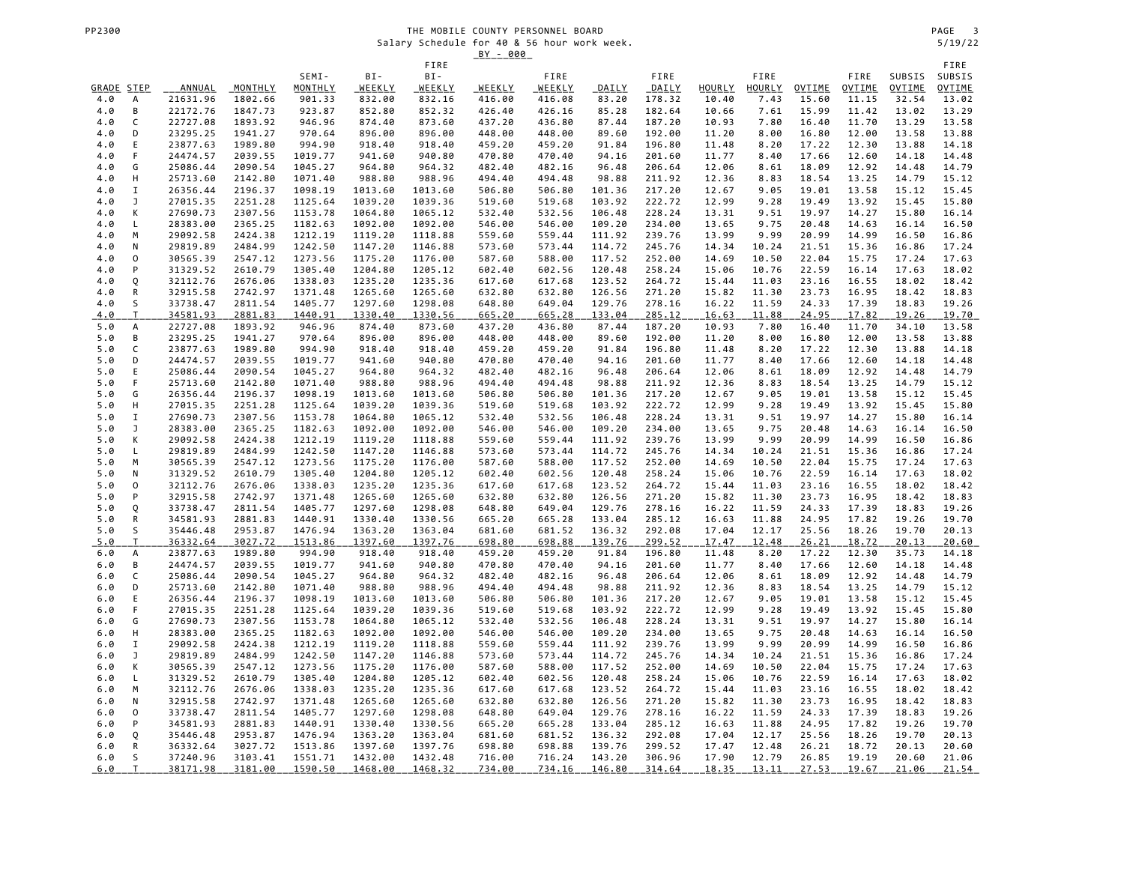|            |                |                      |                    |                    |                    |                    | <u>BY - 000</u>  |                  |                  |                  |                |                |                |                |                |                |
|------------|----------------|----------------------|--------------------|--------------------|--------------------|--------------------|------------------|------------------|------------------|------------------|----------------|----------------|----------------|----------------|----------------|----------------|
|            |                |                      |                    | SEMI-              | BI-                | FIRE<br>BI-        |                  | FIRE             |                  | FIRE             |                | FIRE           |                | FIRE           | SUBSIS         | FIRE<br>SUBSIS |
| GRADE STEP |                | ANNUAL               | MONTHLY            | MONTHLY            | WEEKLY             | WEEKLY             | WEEKLY           | <b>WEEKLY</b>    | DAILY            | DAILY            | HOURLY         | <b>HOURLY</b>  | OVTIME         | OVTIME         | OVTIME         | <b>OVTIME</b>  |
| 4.0        | А              | 21631.96             | 1802.66            | 901.33             | 832.00             | 832.16             | 416.00           | 416.08           | 83.20            | 178.32           | 10.40          | 7.43           | 15.60          | 11.15          | 32.54          | 13.02          |
| 4.0        | B              | 22172.76             | 1847.73            | 923.87             | 852.80             | 852.32             | 426.40           | 426.16           | 85.28            | 182.64           | 10.66          | 7.61           | 15.99          | 11.42          | 13.02          | 13.29          |
| 4.0        | C              | 22727.08             | 1893.92            | 946.96             | 874.40             | 873.60             | 437.20           | 436.80           | 87.44            | 187.20           | 10.93          | 7.80           | 16.40          | 11.70          | 13.29          | 13.58          |
| 4.0        | D              | 23295.25             | 1941.27            | 970.64             | 896.00             | 896.00             | 448.00           | 448.00           | 89.60            | 192.00           | 11.20          | 8.00           | 16.80          | 12.00          | 13.58          | 13.88          |
| 4.0        | Ε              | 23877.63             | 1989.80            | 994.90             | 918.40             | 918.40             | 459.20           | 459.20           | 91.84            | 196.80           | 11.48          | 8.20           | 17.22          | 12.30          | 13.88          | 14.18          |
| 4.0        | F              | 24474.57             | 2039.55            | 1019.77            | 941.60             | 940.80             | 470.80           | 470.40           | 94.16            | 201.60           | 11.77          | 8.40           | 17.66          | 12.60          | 14.18          | 14.48          |
| 4.0<br>4.0 | G<br>н         | 25086.44<br>25713.60 | 2090.54<br>2142.80 | 1045.27<br>1071.40 | 964.80<br>988.80   | 964.32<br>988.96   | 482.40<br>494.40 | 482.16<br>494.48 | 96.48<br>98.88   | 206.64<br>211.92 | 12.06<br>12.36 | 8.61<br>8.83   | 18.09<br>18.54 | 12.92<br>13.25 | 14.48<br>14.79 | 14.79<br>15.12 |
| 4.0        | I              | 26356.44             | 2196.37            | 1098.19            | 1013.60            | 1013.60            | 506.80           | 506.80           | 101.36           | 217.20           | 12.67          | 9.05           | 19.01          | 13.58          | 15.12          | 15.45          |
| 4.0        | J              | 27015.35             | 2251.28            | 1125.64            | 1039.20            | 1039.36            | 519.60           | 519.68           | 103.92           | 222.72           | 12.99          | 9.28           | 19.49          | 13.92          | 15.45          | 15.80          |
| 4.0        | К              | 27690.73             | 2307.56            | 1153.78            | 1064.80            | 1065.12            | 532.40           | 532.56           | 106.48           | 228.24           | 13.31          | 9.51           | 19.97          | 14.27          | 15.80          | 16.14          |
| 4.0        | L              | 28383.00             | 2365.25            | 1182.63            | 1092.00            | 1092.00            | 546.00           | 546.00           | 109.20           | 234.00           | 13.65          | 9.75           | 20.48          | 14.63          | 16.14          | 16.50          |
| 4.0        | M              | 29092.58             | 2424.38            | 1212.19            | 1119.20            | 1118.88            | 559.60           | 559.44           | 111.92           | 239.76           | 13.99          | 9.99           | 20.99          | 14.99          | 16.50          | 16.86          |
| 4.0        | N              | 29819.89             | 2484.99            | 1242.50            | 1147.20            | 1146.88            | 573.60           | 573.44           | 114.72           | 245.76           | 14.34          | 10.24          | 21.51          | 15.36          | 16.86          | 17.24          |
| 4.0        | $\mathsf 0$    | 30565.39             | 2547.12            | 1273.56            | 1175.20            | 1176.00            | 587.60           | 588.00           | 117.52           | 252.00           | 14.69          | 10.50          | 22.04          | 15.75          | 17.24          | 17.63          |
| 4.0        | P              | 31329.52<br>32112.76 | 2610.79<br>2676.06 | 1305.40            | 1204.80<br>1235.20 | 1205.12<br>1235.36 | 602.40           | 602.56           | 120.48           | 258.24<br>264.72 | 15.06          | 10.76<br>11.03 | 22.59          | 16.14          | 17.63<br>18.02 | 18.02<br>18.42 |
| 4.0<br>4.0 | Q<br>${\sf R}$ | 32915.58             | 2742.97            | 1338.03<br>1371.48 | 1265.60            | 1265.60            | 617.60<br>632.80 | 617.68<br>632.80 | 123.52<br>126.56 | 271.20           | 15.44<br>15.82 | 11.30          | 23.16<br>23.73 | 16.55<br>16.95 | 18.42          | 18.83          |
| 4.0        | S              | 33738.47             | 2811.54            | 1405.77            | 1297.60            | 1298.08            | 648.80           | 649.04           | 129.76           | 278.16           | 16.22          | 11.59          | 24.33          | 17.39          | 18.83          | 19.26          |
| 4.0        | $\mathsf T$    | 34581.93             | 2881.83            | 1440.91            | 1330.40            | 1330.56            | 665.20           | 665.28           | 133.04           | 285.12           | 16.63          | 11.88          | 24.95          | 17.82          | <u>19.26</u>   | 19.70          |
| 5.0        | А              | 22727.08             | 1893.92            | 946.96             | 874.40             | 873.60             | 437.20           | 436.80           | 87.44            | 187.20           | 10.93          | 7.80           | 16.40          | 11.70          | 34.10          | 13.58          |
| 5.0        | В              | 23295.25             | 1941.27            | 970.64             | 896.00             | 896.00             | 448.00           | 448.00           | 89.60            | 192.00           | 11.20          | 8.00           | 16.80          | 12.00          | 13.58          | 13.88          |
| 5.0        | C              | 23877.63             | 1989.80            | 994.90             | 918.40             | 918.40             | 459.20           | 459.20           | 91.84            | 196.80           | 11.48          | 8.20           | 17.22          | 12.30          | 13.88          | 14.18          |
| 5.0        | D              | 24474.57             | 2039.55            | 1019.77            | 941.60             | 940.80             | 470.80           | 470.40           | 94.16            | 201.60           | 11.77          | 8.40           | 17.66          | 12.60          | 14.18          | 14.48          |
| 5.0<br>5.0 | Ε<br>F         | 25086.44             | 2090.54            | 1045.27<br>1071.40 | 964.80<br>988.80   | 964.32             | 482.40<br>494.40 | 482.16           | 96.48            | 206.64<br>211.92 | 12.06<br>12.36 | 8.61           | 18.09          | 12.92<br>13.25 | 14.48<br>14.79 | 14.79          |
| 5.0        | G              | 25713.60<br>26356.44 | 2142.80<br>2196.37 | 1098.19            | 1013.60            | 988.96<br>1013.60  | 506.80           | 494.48<br>506.80 | 98.88<br>101.36  | 217.20           | 12.67          | 8.83<br>9.05   | 18.54<br>19.01 | 13.58          | 15.12          | 15.12<br>15.45 |
| 5.0        | Н              | 27015.35             | 2251.28            | 1125.64            | 1039.20            | 1039.36            | 519.60           | 519.68           | 103.92           | 222.72           | 12.99          | 9.28           | 19.49          | 13.92          | 15.45          | 15.80          |
| 5.0        | $\mathbf I$    | 27690.73             | 2307.56            | 1153.78            | 1064.80            | 1065.12            | 532.40           | 532.56           | 106.48           | 228.24           | 13.31          | 9.51           | 19.97          | 14.27          | 15.80          | 16.14          |
| 5.0        | J              | 28383.00             | 2365.25            | 1182.63            | 1092.00            | 1092.00            | 546.00           | 546.00           | 109.20           | 234.00           | 13.65          | 9.75           | 20.48          | 14.63          | 16.14          | 16.50          |
| 5.0        | К              | 29092.58             | 2424.38            | 1212.19            | 1119.20            | 1118.88            | 559.60           | 559.44           | 111.92           | 239.76           | 13.99          | 9.99           | 20.99          | 14.99          | 16.50          | 16.86          |
| 5.0        | L              | 29819.89             | 2484.99            | 1242.50            | 1147.20            | 1146.88            | 573.60           | 573.44           | 114.72           | 245.76           | 14.34          | 10.24          | 21.51          | 15.36          | 16.86          | 17.24          |
| 5.0        | M              | 30565.39             | 2547.12            | 1273.56            | 1175.20            | 1176.00            | 587.60           | 588.00           | 117.52           | 252.00           | 14.69          | 10.50          | 22.04          | 15.75          | 17.24          | 17.63          |
| 5.0        | N<br>0         | 31329.52<br>32112.76 | 2610.79            | 1305.40            | 1204.80            | 1205.12            | 602.40           | 602.56           | 120.48<br>123.52 | 258.24<br>264.72 | 15.06          | 10.76<br>11.03 | 22.59          | 16.14<br>16.55 | 17.63<br>18.02 | 18.02          |
| 5.0<br>5.0 | P              | 32915.58             | 2676.06<br>2742.97 | 1338.03<br>1371.48 | 1235.20<br>1265.60 | 1235.36<br>1265.60 | 617.60<br>632.80 | 617.68<br>632.80 | 126.56           | 271.20           | 15.44<br>15.82 | 11.30          | 23.16<br>23.73 | 16.95          | 18.42          | 18.42<br>18.83 |
| 5.0        | Q              | 33738.47             | 2811.54            | 1405.77            | 1297.60            | 1298.08            | 648.80           | 649.04           | 129.76           | 278.16           | 16.22          | 11.59          | 24.33          | 17.39          | 18.83          | 19.26          |
| 5.0        | R              | 34581.93             | 2881.83            | 1440.91            | 1330.40            | 1330.56            | 665.20           | 665.28           | 133.04           | 285.12           | 16.63          | 11.88          | 24.95          | 17.82          | 19.26          | 19.70          |
| 5.0        | S              | 35446.48             | 2953.87            | 1476.94            | 1363.20            | 1363.04            | 681.60           | 681.52           | 136.32           | 292.08           | 17.04          | 12.17          | 25.56          | 18.26          | 19.70          | 20.13          |
| <u>5.0</u> | T              | 36332.64             | 3027.72            | 1513.86            | 1397.60            | 1397.76            | 698.80           | 698.88           | 139.76           | 299.52           | 17.47          | 12.48          | 26.21          | 18.72          | 20.13          | 20.60          |
| 6.0        | А              | 23877.63             | 1989.80            | 994.90             | 918.40             | 918.40             | 459.20           | 459.20           | 91.84            | 196.80           | 11.48          | 8.20           | 17.22          | 12.30          | 35.73          | 14.18          |
| 6.0        | B              | 24474.57             | 2039.55            | 1019.77            | 941.60             | 940.80             | 470.80           | 470.40           | 94.16            | 201.60           | 11.77          | 8.40           | 17.66          | 12.60          | 14.18          | 14.48          |
| 6.0        | C<br>D         | 25086.44<br>25713.60 | 2090.54<br>2142.80 | 1045.27<br>1071.40 | 964.80<br>988.80   | 964.32<br>988.96   | 482.40<br>494.40 | 482.16<br>494.48 | 96.48<br>98.88   | 206.64<br>211.92 | 12.06<br>12.36 | 8.61<br>8.83   | 18.09<br>18.54 | 12.92<br>13.25 | 14.48<br>14.79 | 14.79<br>15.12 |
| 6.0<br>6.0 | $\mathsf E$    | 26356.44             | 2196.37            | 1098.19            | 1013.60            | 1013.60            | 506.80           | 506.80           | 101.36           | 217.20           | 12.67          | 9.05           | 19.01          | 13.58          | 15.12          | 15.45          |
| 6.0        | F              | 27015.35             | 2251.28            | 1125.64            | 1039.20            | 1039.36            | 519.60           | 519.68           | 103.92           | 222.72           | 12.99          | 9.28           | 19.49          | 13.92          | 15.45          | 15.80          |
| 6.0        | G              | 27690.73             | 2307.56            | 1153.78            | 1064.80            | 1065.12            | 532.40           | 532.56           | 106.48           | 228.24           | 13.31          | 9.51           | 19.97          | 14.27          | 15.80          | 16.14          |
| 6.0        | Н              | 28383.00             | 2365.25            | 1182.63            | 1092.00            | 1092.00            | 546.00           | 546.00           | 109.20           | 234.00           | 13.65          | 9.75           | 20.48          | 14.63          | 16.14          | 16.50          |
| 6.0        | I              | 29092.58             | 2424.38            | 1212.19            | 1119.20            | 1118.88            | 559.60           | 559.44           | 111.92           | 239.76           | 13.99          | 9.99           | 20.99          | 14.99          | 16.50          | 16.86          |
| 6.0        | J              | 29819.89             | 2484.99            | 1242.50            | 1147.20            | 1146.88            | 573.60           | 573.44           | 114.72           | 245.76           | 14.34          | 10.24          | 21.51          | 15.36          | 16.86          | 17.24          |
| 6.0        | К              | 30565.39             | 2547.12            | 1273.56            | 1175.20            | 1176.00            | 587.60           | 588.00           | 117.52           | 252.00           | 14.69          | 10.50          | 22.04          | 15.75          | 17.24          | 17.63          |
| 6.0        | L              | 31329.52             | 2610.79            | 1305.40            | 1204.80            | 1205.12            | 602.40           | 602.56           | 120.48           | 258.24           | 15.06          | 10.76          | 22.59          | 16.14          | 17.63          | 18.02          |
| 6.0<br>6.0 | M<br>N         | 32112.76<br>32915.58 | 2676.06<br>2742.97 | 1338.03<br>1371.48 | 1235.20<br>1265.60 | 1235.36<br>1265.60 | 617.60<br>632.80 | 617.68<br>632.80 | 123.52<br>126.56 | 264.72<br>271.20 | 15.44<br>15.82 | 11.03<br>11.30 | 23.16<br>23.73 | 16.55<br>16.95 | 18.02<br>18.42 | 18.42<br>18.83 |
| 6.0        | 0              | 33738.47             | 2811.54            | 1405.77            | 1297.60            | 1298.08            | 648.80           | 649.04           | 129.76           | 278.16           | 16.22          | 11.59          | 24.33          | 17.39          | 18.83          | 19.26          |
| 6.0        | P              | 34581.93             | 2881.83            | 1440.91            | 1330.40            | 1330.56            | 665.20           | 665.28           | 133.04           | 285.12           | 16.63          | 11.88          | 24.95          | 17.82          | 19.26          | 19.70          |
| 6.0        | Q              | 35446.48             | 2953.87            | 1476.94            | 1363.20            | 1363.04            | 681.60           | 681.52           | 136.32           | 292.08           | 17.04          | 12.17          | 25.56          | 18.26          | 19.70          | 20.13          |
| 6.0        | ${\sf R}$      | 36332.64             | 3027.72            | 1513.86            | 1397.60            | 1397.76            | 698.80           | 698.88           | 139.76           | 299.52           | 17.47          | 12.48          | 26.21          | 18.72          | 20.13          | 20.60          |
| 6.0        | S              | 37240.96             | 3103.41            | 1551.71            | 1432.00            | 1432.48            | 716.00           | 716.24           | 143.20           | 306.96           | 17.90          | 12.79          | 26.85          | 19.19          | 20.60          | 21.06          |
| 6.0        | $\mathsf{T}$   | 38171.98             | 3181.00            | 1590.50            | 1468.00            | 1468.32            | 734.00           | 734.16           | 146.80           | 314.64           | 18.35          | 13.11          | 27.53          | 19.67          | 21.06          | 21.54          |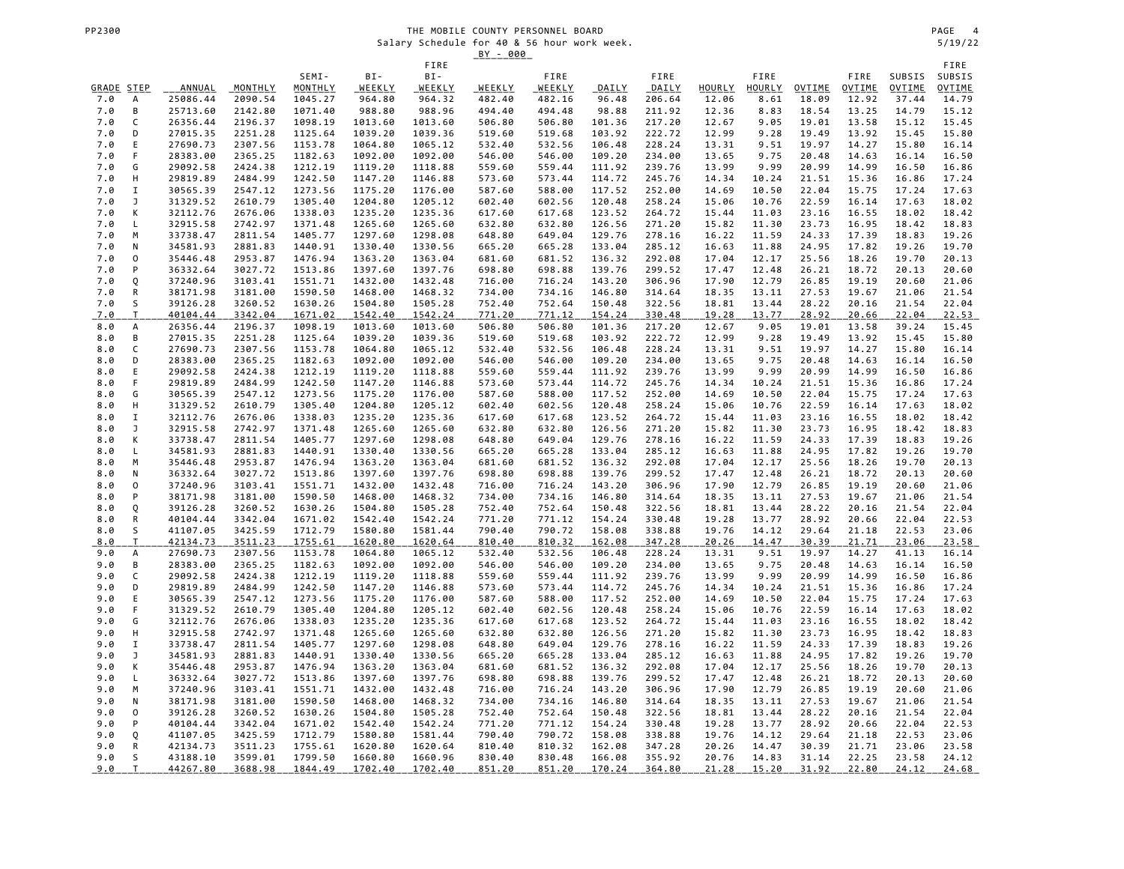|                   |                     |                           |                    |                    |                    |                         | <u>BY - 000</u>  |                  |                  |                        |                 |                |                 |                 |                 |                        |
|-------------------|---------------------|---------------------------|--------------------|--------------------|--------------------|-------------------------|------------------|------------------|------------------|------------------------|-----------------|----------------|-----------------|-----------------|-----------------|------------------------|
|                   |                     |                           |                    |                    |                    | FIRE                    |                  |                  |                  |                        |                 |                |                 |                 |                 | FIRE                   |
|                   |                     |                           |                    | SEMI-<br>MONTHLY   | BI-                | BI-                     |                  | FIRE             |                  | FIRE                   |                 | FIRE           |                 | FIRE            | SUBSIS          | SUBSIS                 |
| GRADE STEP<br>7.0 | А                   | <b>ANNUAL</b><br>25086.44 | MONTHLY<br>2090.54 | 1045.27            | WEEKLY<br>964.80   | <u>WEEKLY</u><br>964.32 | WEEKLY<br>482.40 | WEEKLY<br>482.16 | DAILY<br>96.48   | <b>DAILY</b><br>206.64 | HOURLY<br>12.06 | HOURLY<br>8.61 | OVTIME<br>18.09 | OVTIME<br>12.92 | OVTIME<br>37.44 | <b>OVTIME</b><br>14.79 |
| 7.0               | B                   | 25713.60                  | 2142.80            | 1071.40            | 988.80             | 988.96                  | 494.40           | 494.48           | 98.88            | 211.92                 | 12.36           | 8.83           | 18.54           | 13.25           | 14.79           | 15.12                  |
| 7.0               | C                   | 26356.44                  | 2196.37            | 1098.19            | 1013.60            | 1013.60                 | 506.80           | 506.80           | 101.36           | 217.20                 | 12.67           | 9.05           | 19.01           | 13.58           | 15.12           | 15.45                  |
| 7.0               | D                   | 27015.35                  | 2251.28            | 1125.64            | 1039.20            | 1039.36                 | 519.60           | 519.68           | 103.92           | 222.72                 | 12.99           | 9.28           | 19.49           | 13.92           | 15.45           | 15.80                  |
| 7.0               | E                   | 27690.73                  | 2307.56            | 1153.78            | 1064.80            | 1065.12                 | 532.40           | 532.56           | 106.48           | 228.24                 | 13.31           | 9.51           | 19.97           | 14.27           | 15.80           | 16.14                  |
| 7.0               | F                   | 28383.00                  | 2365.25            | 1182.63            | 1092.00            | 1092.00                 | 546.00           | 546.00           | 109.20           | 234.00                 | 13.65           | 9.75           | 20.48           | 14.63           | 16.14           | 16.50                  |
| 7.0               | G                   | 29092.58                  | 2424.38            | 1212.19            | 1119.20            | 1118.88                 | 559.60           | 559.44           | 111.92           | 239.76                 | 13.99           | 9.99           | 20.99           | 14.99           | 16.50           | 16.86                  |
| 7.0               | Н                   | 29819.89                  | 2484.99            | 1242.50            | 1147.20            | 1146.88                 | 573.60           | 573.44           | 114.72           | 245.76                 | 14.34           | 10.24          | 21.51           | 15.36           | 16.86           | 17.24                  |
| 7.0               | $\mathbf I$         | 30565.39                  | 2547.12            | 1273.56            | 1175.20            | 1176.00                 | 587.60           | 588.00           | 117.52           | 252.00                 | 14.69           | 10.50          | 22.04           | 15.75           | 17.24           | 17.63                  |
| 7.0               | J                   | 31329.52                  | 2610.79            | 1305.40            | 1204.80            | 1205.12                 | 602.40           | 602.56           | 120.48           | 258.24                 | 15.06           | 10.76          | 22.59           | 16.14           | 17.63           | 18.02                  |
| 7.0<br>7.0        | К<br>L              | 32112.76<br>32915.58      | 2676.06<br>2742.97 | 1338.03<br>1371.48 | 1235.20<br>1265.60 | 1235.36<br>1265.60      | 617.60<br>632.80 | 617.68<br>632.80 | 123.52<br>126.56 | 264.72<br>271.20       | 15.44<br>15.82  | 11.03<br>11.30 | 23.16<br>23.73  | 16.55<br>16.95  | 18.02<br>18.42  | 18.42<br>18.83         |
| 7.0               | M                   | 33738.47                  | 2811.54            | 1405.77            | 1297.60            | 1298.08                 | 648.80           | 649.04           | 129.76           | 278.16                 | 16.22           | 11.59          | 24.33           | 17.39           | 18.83           | 19.26                  |
| 7.0               | N                   | 34581.93                  | 2881.83            | 1440.91            | 1330.40            | 1330.56                 | 665.20           | 665.28           | 133.04           | 285.12                 | 16.63           | 11.88          | 24.95           | 17.82           | 19.26           | 19.70                  |
| 7.0               | $\mathsf{O}\xspace$ | 35446.48                  | 2953.87            | 1476.94            | 1363.20            | 1363.04                 | 681.60           | 681.52           | 136.32           | 292.08                 | 17.04           | 12.17          | 25.56           | 18.26           | 19.70           | 20.13                  |
| 7.0               | P                   | 36332.64                  | 3027.72            | 1513.86            | 1397.60            | 1397.76                 | 698.80           | 698.88           | 139.76           | 299.52                 | 17.47           | 12.48          | 26.21           | 18.72           | 20.13           | 20.60                  |
| 7.0               | Q                   | 37240.96                  | 3103.41            | 1551.71            | 1432.00            | 1432.48                 | 716.00           | 716.24           | 143.20           | 306.96                 | 17.90           | 12.79          | 26.85           | 19.19           | 20.60           | 21.06                  |
| 7.0               | ${\sf R}$           | 38171.98                  | 3181.00            | 1590.50            | 1468.00            | 1468.32                 | 734.00           | 734.16           | 146.80           | 314.64                 | 18.35           | 13.11          | 27.53           | 19.67           | 21.06           | 21.54                  |
| 7.0               | S                   | 39126.28                  | 3260.52            | 1630.26            | 1504.80            | 1505.28                 | 752.40           | 752.64           | 150.48           | 322.56                 | 18.81           | 13.44          | 28.22           | 20.16           | 21.54           | 22.04                  |
| 7.0               | T                   | 40104.44                  | 3342.04            | 1671.02            | 1542.40            | 1542.24                 | 771.20           | 771.12           | 154.24           | 330.48                 | 19.28           | 13.77          | 28.92           | 20.66           | 22.04           | 22.53                  |
| 8.0               | А                   | 26356.44                  | 2196.37            | 1098.19            | 1013.60            | 1013.60                 | 506.80           | 506.80           | 101.36           | 217.20                 | 12.67           | 9.05           | 19.01           | 13.58           | 39.24           | 15.45                  |
| 8.0<br>8.0        | В<br>C              | 27015.35<br>27690.73      | 2251.28<br>2307.56 | 1125.64<br>1153.78 | 1039.20<br>1064.80 | 1039.36<br>1065.12      | 519.60<br>532.40 | 519.68<br>532.56 | 103.92<br>106.48 | 222.72<br>228.24       | 12.99<br>13.31  | 9.28<br>9.51   | 19.49<br>19.97  | 13.92<br>14.27  | 15.45<br>15.80  | 15.80<br>16.14         |
| 8.0               | D                   | 28383.00                  | 2365.25            | 1182.63            | 1092.00            | 1092.00                 | 546.00           | 546.00           | 109.20           | 234.00                 | 13.65           | 9.75           | 20.48           | 14.63           | 16.14           | 16.50                  |
| 8.0               | E                   | 29092.58                  | 2424.38            | 1212.19            | 1119.20            | 1118.88                 | 559.60           | 559.44           | 111.92           | 239.76                 | 13.99           | 9.99           | 20.99           | 14.99           | 16.50           | 16.86                  |
| 8.0               | F                   | 29819.89                  | 2484.99            | 1242.50            | 1147.20            | 1146.88                 | 573.60           | 573.44           | 114.72           | 245.76                 | 14.34           | 10.24          | 21.51           | 15.36           | 16.86           | 17.24                  |
| 8.0               | G                   | 30565.39                  | 2547.12            | 1273.56            | 1175.20            | 1176.00                 | 587.60           | 588.00           | 117.52           | 252.00                 | 14.69           | 10.50          | 22.04           | 15.75           | 17.24           | 17.63                  |
| 8.0               | Н                   | 31329.52                  | 2610.79            | 1305.40            | 1204.80            | 1205.12                 | 602.40           | 602.56           | 120.48           | 258.24                 | 15.06           | 10.76          | 22.59           | 16.14           | 17.63           | 18.02                  |
| 8.0               | I                   | 32112.76                  | 2676.06            | 1338.03            | 1235.20            | 1235.36                 | 617.60           | 617.68           | 123.52           | 264.72                 | 15.44           | 11.03          | 23.16           | 16.55           | 18.02           | 18.42                  |
| 8.0               | J                   | 32915.58                  | 2742.97            | 1371.48            | 1265.60            | 1265.60                 | 632.80           | 632.80           | 126.56           | 271.20                 | 15.82           | 11.30          | 23.73           | 16.95           | 18.42           | 18.83                  |
| 8.0               | К                   | 33738.47                  | 2811.54            | 1405.77            | 1297.60            | 1298.08                 | 648.80           | 649.04           | 129.76           | 278.16                 | 16.22           | 11.59          | 24.33           | 17.39           | 18.83           | 19.26                  |
| 8.0               | L<br>M              | 34581.93                  | 2881.83<br>2953.87 | 1440.91<br>1476.94 | 1330.40            | 1330.56<br>1363.04      | 665.20           | 665.28           | 133.04<br>136.32 | 285.12<br>292.08       | 16.63           | 11.88<br>12.17 | 24.95<br>25.56  | 17.82<br>18.26  | 19.26<br>19.70  | 19.70                  |
| 8.0<br>8.0        | Ν                   | 35446.48<br>36332.64      | 3027.72            | 1513.86            | 1363.20<br>1397.60 | 1397.76                 | 681.60<br>698.80 | 681.52<br>698.88 | 139.76           | 299.52                 | 17.04<br>17.47  | 12.48          | 26.21           | 18.72           | 20.13           | 20.13<br>20.60         |
| 8.0               | 0                   | 37240.96                  | 3103.41            | 1551.71            | 1432.00            | 1432.48                 | 716.00           | 716.24           | 143.20           | 306.96                 | 17.90           | 12.79          | 26.85           | 19.19           | 20.60           | 21.06                  |
| 8.0               | P                   | 38171.98                  | 3181.00            | 1590.50            | 1468.00            | 1468.32                 | 734.00           | 734.16           | 146.80           | 314.64                 | 18.35           | 13.11          | 27.53           | 19.67           | 21.06           | 21.54                  |
| 8.0               | Q                   | 39126.28                  | 3260.52            | 1630.26            | 1504.80            | 1505.28                 | 752.40           | 752.64           | 150.48           | 322.56                 | 18.81           | 13.44          | 28.22           | 20.16           | 21.54           | 22.04                  |
| 8.0               | R                   | 40104.44                  | 3342.04            | 1671.02            | 1542.40            | 1542.24                 | 771.20           | 771.12           | 154.24           | 330.48                 | 19.28           | 13.77          | 28.92           | 20.66           | 22.04           | 22.53                  |
| 8.0               | S                   | 41107.05                  | 3425.59            | 1712.79            | 1580.80            | 1581.44                 | 790.40           | 790.72           | 158.08           | 338.88                 | 19.76           | 14.12          | 29.64           | 21.18           | 22.53           | 23.06                  |
| 8.0               | $\mathsf T$         | 42134.73                  | 3511.23            | 1755.61            | 1620.80            | 1620.64                 | 810.40           | 810.32           | 162.08           | 347.28                 | 20.26           | 14.47          | 30.39           | 21.71           | 23.06           | 23.58                  |
| 9.0               | А                   | 27690.73                  | 2307.56            | 1153.78            | 1064.80            | 1065.12                 | 532.40           | 532.56           | 106.48           | 228.24                 | 13.31           | 9.51           | 19.97           | 14.27           | 41.13           | 16.14                  |
| 9.0               | B<br>C              | 28383.00<br>29092.58      | 2365.25<br>2424.38 | 1182.63<br>1212.19 | 1092.00<br>1119.20 | 1092.00<br>1118.88      | 546.00<br>559.60 | 546.00<br>559.44 | 109.20<br>111.92 | 234.00<br>239.76       | 13.65<br>13.99  | 9.75<br>9.99   | 20.48<br>20.99  | 14.63<br>14.99  | 16.14<br>16.50  | 16.50<br>16.86         |
| 9.0<br>9.0        | D                   | 29819.89                  | 2484.99            | 1242.50            | 1147.20            | 1146.88                 | 573.60           | 573.44           | 114.72           | 245.76                 | 14.34           | 10.24          | 21.51           | 15.36           | 16.86           | 17.24                  |
| 9.0               | E                   | 30565.39                  | 2547.12            | 1273.56            | 1175.20            | 1176.00                 | 587.60           | 588.00           | 117.52           | 252.00                 | 14.69           | 10.50          | 22.04           | 15.75           | 17.24           | 17.63                  |
| 9.0               | F                   | 31329.52                  | 2610.79            | 1305.40            | 1204.80            | 1205.12                 | 602.40           | 602.56           | 120.48           | 258.24                 | 15.06           | 10.76          | 22.59           | 16.14           | 17.63           | 18.02                  |
| 9.0               | G                   | 32112.76                  | 2676.06            | 1338.03            | 1235.20            | 1235.36                 | 617.60           | 617.68           | 123.52           | 264.72                 | 15.44           | 11.03          | 23.16           | 16.55           | 18.02           | 18.42                  |
| 9.0               | Н                   | 32915.58                  | 2742.97            | 1371.48            | 1265.60            | 1265.60                 | 632.80           | 632.80           | 126.56           | 271.20                 | 15.82           | 11.30          | 23.73           | 16.95           | 18.42           | 18.83                  |
| 9.0               | $\mathtt I$         | 33738.47                  | 2811.54            | 1405.77            | 1297.60            | 1298.08                 | 648.80           | 649.04           | 129.76           | 278.16                 | 16.22           | 11.59          | 24.33           | 17.39           | 18.83           | 19.26                  |
| 9.0               | J                   | 34581.93                  | 2881.83            | 1440.91            | 1330.40            | 1330.56                 | 665.20           | 665.28           | 133.04           | 285.12                 | 16.63           | 11.88          | 24.95           | 17.82           | 19.26           | 19.70                  |
| 9.0               | К                   | 35446.48                  | 2953.87            | 1476.94            | 1363.20            | 1363.04                 | 681.60           | 681.52           | 136.32           | 292.08                 | 17.04           | 12.17          | 25.56           | 18.26           | 19.70           | 20.13                  |
| 9.0               | Г                   | 36332.64                  | 3027.72            | 1513.86            | 1397.60            | 1397.76                 | 698.80           | 698.88           | 139.76           | 299.52                 | 17.47           | 12.48          | 26.21           | 18.72           | 20.13           | 20.60                  |
| 9.0<br>9.0        | M<br>N              | 37240.96<br>38171.98      | 3103.41<br>3181.00 | 1551.71<br>1590.50 | 1432.00<br>1468.00 | 1432.48<br>1468.32      | 716.00<br>734.00 | 716.24<br>734.16 | 143.20<br>146.80 | 306.96<br>314.64       | 17.90<br>18.35  | 12.79<br>13.11 | 26.85<br>27.53  | 19.19<br>19.67  | 20.60<br>21.06  | 21.06<br>21.54         |
| 9.0               | 0                   | 39126.28                  | 3260.52            | 1630.26            | 1504.80            | 1505.28                 | 752.40           | 752.64           | 150.48           | 322.56                 | 18.81           | 13.44          | 28.22           | 20.16           | 21.54           | 22.04                  |
| 9.0               | ${\sf P}$           | 40104.44                  | 3342.04            | 1671.02            | 1542.40            | 1542.24                 | 771.20           | 771.12           | 154.24           | 330.48                 | 19.28           | 13.77          | 28.92           | 20.66           | 22.04           | 22.53                  |
| 9.0               | Q                   | 41107.05                  | 3425.59            | 1712.79            | 1580.80            | 1581.44                 | 790.40           | 790.72           | 158.08           | 338.88                 | 19.76           | 14.12          | 29.64           | 21.18           | 22.53           | 23.06                  |
| 9.0               | R                   | 42134.73                  | 3511.23            | 1755.61            | 1620.80            | 1620.64                 | 810.40           | 810.32           | 162.08           | 347.28                 | 20.26           | 14.47          | 30.39           | 21.71           | 23.06           | 23.58                  |
| 9.0               | S                   | 43188.10                  | 3599.01            | 1799.50            | 1660.80            | 1660.96                 | 830.40           | 830.48           | 166.08           | 355.92                 | 20.76           | 14.83          | 31.14           | 22.25           | 23.58           | 24.12                  |
| 9.0               | T                   | 44267.80                  | 3688.98            | 1844.49            | 1702.40            | 1702.40                 | 851.20           | 851.20           | 170.24           | 364.80                 | 21.28           | 15.20          | 31.92           | 22.80           | 24.12           | 24.68                  |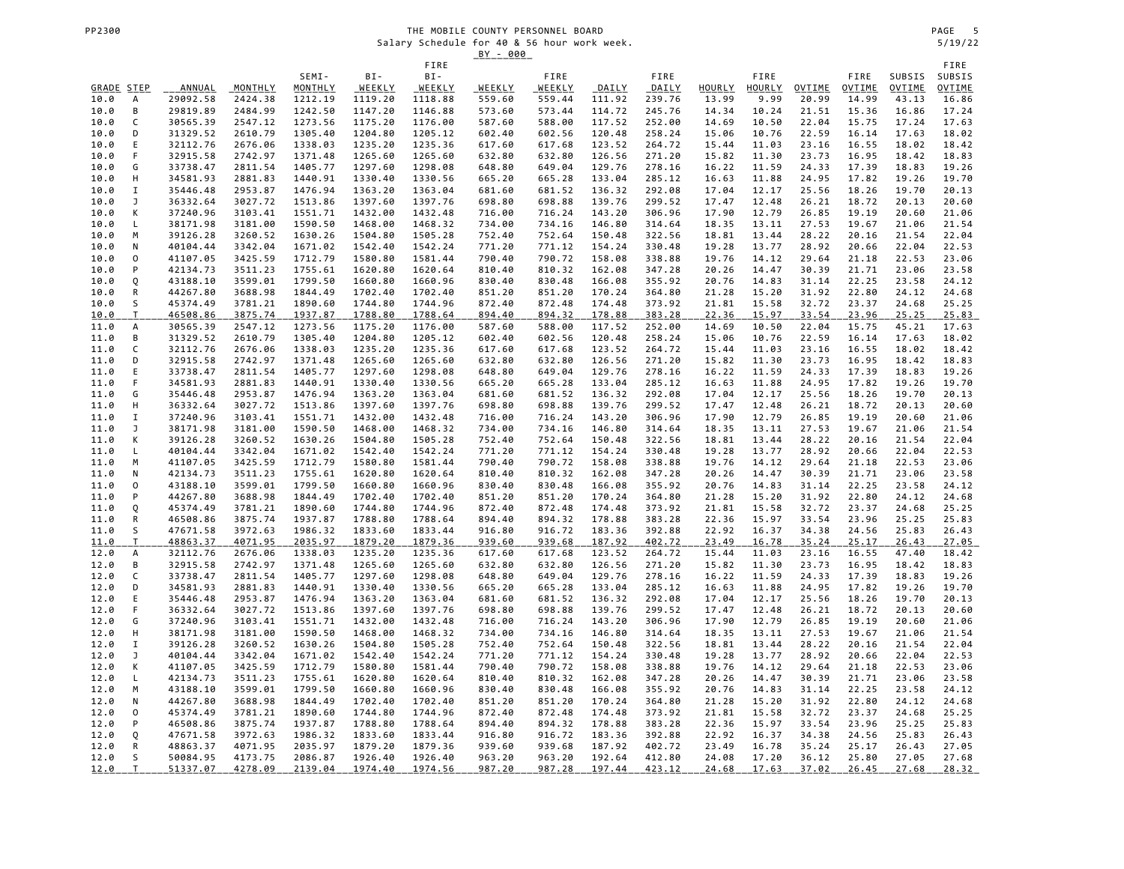|                    |                     |                      |                    |                    |                    |                    | <u>BY - 000</u>  |                         |                  |                  |                 |                |                        |                       |                        |                        |
|--------------------|---------------------|----------------------|--------------------|--------------------|--------------------|--------------------|------------------|-------------------------|------------------|------------------|-----------------|----------------|------------------------|-----------------------|------------------------|------------------------|
|                    |                     |                      |                    |                    |                    | FIRE               |                  |                         |                  |                  |                 |                |                        |                       |                        | FIRE                   |
|                    |                     |                      |                    | SEMI-<br>MONTHLY   | BI-                | BI-                |                  | FIRE                    |                  | FIRE             |                 | FIRE           |                        | FIRE                  | SUBSIS                 | SUBSIS                 |
| GRADE STEP<br>10.0 | А                   | ANNUAL<br>29092.58   | MONTHLY<br>2424.38 | 1212.19            | WEEKLY<br>1119.20  | WEEKLY<br>1118.88  | WEEKLY<br>559.60 | <b>WEEKLY</b><br>559.44 | DAILY<br>111.92  | DAILY<br>239.76  | HOURLY<br>13.99 | HOURLY<br>9.99 | <b>OVTIME</b><br>20.99 | OVTIME<br>14.99       | <b>OVTIME</b><br>43.13 | <b>OVTIME</b><br>16.86 |
| 10.0               | B                   | 29819.89             | 2484.99            | 1242.50            | 1147.20            | 1146.88            | 573.60           | 573.44                  | 114.72           | 245.76           | 14.34           | 10.24          | 21.51                  | 15.36                 | 16.86                  | 17.24                  |
| 10.0               | C                   | 30565.39             | 2547.12            | 1273.56            | 1175.20            | 1176.00            | 587.60           | 588.00                  | 117.52           | 252.00           | 14.69           | 10.50          | 22.04                  | 15.75                 | 17.24                  | 17.63                  |
| 10.0               | D                   | 31329.52             | 2610.79            | 1305.40            | 1204.80            | 1205.12            | 602.40           | 602.56                  | 120.48           | 258.24           | 15.06           | 10.76          | 22.59                  | 16.14                 | 17.63                  | 18.02                  |
| 10.0               | E                   | 32112.76             | 2676.06            | 1338.03            | 1235.20            | 1235.36            | 617.60           | 617.68                  | 123.52           | 264.72           | 15.44           | 11.03          | 23.16                  | 16.55                 | 18.02                  | 18.42                  |
| 10.0               | F                   | 32915.58             | 2742.97            | 1371.48            | 1265.60            | 1265.60            | 632.80           | 632.80                  | 126.56           | 271.20           | 15.82           | 11.30          | 23.73                  | 16.95                 | 18.42                  | 18.83                  |
| 10.0               | G                   | 33738.47             | 2811.54            | 1405.77            | 1297.60            | 1298.08            | 648.80           | 649.04                  | 129.76           | 278.16           | 16.22           | 11.59          | 24.33                  | 17.39                 | 18.83                  | 19.26                  |
| 10.0               | Н                   | 34581.93             | 2881.83            | 1440.91            | 1330.40            | 1330.56            | 665.20           | 665.28                  | 133.04           | 285.12           | 16.63           | 11.88          | 24.95                  | 17.82                 | 19.26                  | 19.70                  |
| 10.0               | I                   | 35446.48             | 2953.87            | 1476.94            | 1363.20            | 1363.04            | 681.60           | 681.52                  | 136.32           | 292.08           | 17.04           | 12.17          | 25.56                  | 18.26                 | 19.70                  | 20.13                  |
| 10.0               | J                   | 36332.64             | 3027.72            | 1513.86            | 1397.60            | 1397.76            | 698.80           | 698.88                  | 139.76           | 299.52           | 17.47           | 12.48          | 26.21                  | 18.72                 | 20.13                  | 20.60                  |
| 10.0<br>10.0       | К<br>L              | 37240.96<br>38171.98 | 3103.41<br>3181.00 | 1551.71<br>1590.50 | 1432.00<br>1468.00 | 1432.48<br>1468.32 | 716.00<br>734.00 | 716.24<br>734.16        | 143.20<br>146.80 | 306.96<br>314.64 | 17.90<br>18.35  | 12.79<br>13.11 | 26.85<br>27.53         | 19.19<br>19.67        | 20.60<br>21.06         | 21.06<br>21.54         |
| 10.0               | M                   | 39126.28             | 3260.52            | 1630.26            | 1504.80            | 1505.28            | 752.40           | 752.64                  | 150.48           | 322.56           | 18.81           | 13.44          | 28.22                  | 20.16                 | 21.54                  | 22.04                  |
| 10.0               | N                   | 40104.44             | 3342.04            | 1671.02            | 1542.40            | 1542.24            | 771.20           | 771.12                  | 154.24           | 330.48           | 19.28           | 13.77          | 28.92                  | 20.66                 | 22.04                  | 22.53                  |
| 10.0               | $\mathsf{O}\xspace$ | 41107.05             | 3425.59            | 1712.79            | 1580.80            | 1581.44            | 790.40           | 790.72                  | 158.08           | 338.88           | 19.76           | 14.12          | 29.64                  | 21.18                 | 22.53                  | 23.06                  |
| 10.0               | P                   | 42134.73             | 3511.23            | 1755.61            | 1620.80            | 1620.64            | 810.40           | 810.32                  | 162.08           | 347.28           | 20.26           | 14.47          | 30.39                  | 21.71                 | 23.06                  | 23.58                  |
| 10.0               | Q                   | 43188.10             | 3599.01            | 1799.50            | 1660.80            | 1660.96            | 830.40           | 830.48                  | 166.08           | 355.92           | 20.76           | 14.83          | 31.14                  | 22.25                 | 23.58                  | 24.12                  |
| 10.0               | ${\sf R}$           | 44267.80             | 3688.98            | 1844.49            | 1702.40            | 1702.40            | 851.20           | 851.20                  | 170.24           | 364.80           | 21.28           | 15.20          | 31.92                  | 22.80                 | 24.12                  | 24.68                  |
| 10.0               | S                   | 45374.49             | 3781.21            | 1890.60            | 1744.80            | 1744.96            | 872.40           | 872.48                  | 174.48           | 373.92           | 21.81           | 15.58          | 32.72                  | 23.37                 | 24.68                  | 25.25                  |
| <u> 10.0</u>       | T                   | 46508.86             | 3875.74            | 1937.87            | 1788.80            | 1788.64            | 894.40           | 894.32                  | 178.88<br>117.52 | 383.28           | 22.36<br>14.69  | 15.97<br>10.50 | 33.54                  | 23.96                 | 25.25<br>45.21         | 25.83                  |
| 11.0<br>11.0       | А<br>В              | 30565.39<br>31329.52 | 2547.12<br>2610.79 | 1273.56<br>1305.40 | 1175.20<br>1204.80 | 1176.00<br>1205.12 | 587.60<br>602.40 | 588.00<br>602.56        | 120.48           | 252.00<br>258.24 | 15.06           | 10.76          | 22.04<br>22.59         | 15.75<br>16.14        | 17.63                  | 17.63<br>18.02         |
| 11.0               | C                   | 32112.76             | 2676.06            | 1338.03            | 1235.20            | 1235.36            | 617.60           | 617.68                  | 123.52           | 264.72           | 15.44           | 11.03          | 23.16                  | 16.55                 | 18.02                  | 18.42                  |
| 11.0               | D                   | 32915.58             | 2742.97            | 1371.48            | 1265.60            | 1265.60            | 632.80           | 632.80                  | 126.56           | 271.20           | 15.82           | 11.30          | 23.73                  | 16.95                 | 18.42                  | 18.83                  |
| 11.0               | Ε                   | 33738.47             | 2811.54            | 1405.77            | 1297.60            | 1298.08            | 648.80           | 649.04                  | 129.76           | 278.16           | 16.22           | 11.59          | 24.33                  | 17.39                 | 18.83                  | 19.26                  |
| 11.0               | F                   | 34581.93             | 2881.83            | 1440.91            | 1330.40            | 1330.56            | 665.20           | 665.28                  | 133.04           | 285.12           | 16.63           | 11.88          | 24.95                  | 17.82                 | 19.26                  | 19.70                  |
| 11.0               | G                   | 35446.48             | 2953.87            | 1476.94            | 1363.20            | 1363.04            | 681.60           | 681.52                  | 136.32           | 292.08           | 17.04           | 12.17          | 25.56                  | 18.26                 | 19.70                  | 20.13                  |
| 11.0               | Н                   | 36332.64             | 3027.72            | 1513.86            | 1397.60            | 1397.76            | 698.80           | 698.88                  | 139.76           | 299.52           | 17.47           | 12.48          | 26.21                  | 18.72                 | 20.13                  | 20.60                  |
| 11.0               | $\mathbf I$         | 37240.96             | 3103.41            | 1551.71            | 1432.00            | 1432.48            | 716.00           | 716.24                  | 143.20           | 306.96           | 17.90           | 12.79          | 26.85                  | 19.19                 | 20.60                  | 21.06                  |
| 11.0               | J<br>К              | 38171.98             | 3181.00            | 1590.50            | 1468.00            | 1468.32            | 734.00           | 734.16                  | 146.80           | 314.64           | 18.35           | 13.11          | 27.53                  | 19.67                 | 21.06                  | 21.54                  |
| 11.0<br>11.0       | L                   | 39126.28<br>40104.44 | 3260.52<br>3342.04 | 1630.26<br>1671.02 | 1504.80<br>1542.40 | 1505.28<br>1542.24 | 752.40<br>771.20 | 752.64<br>771.12        | 150.48<br>154.24 | 322.56<br>330.48 | 18.81<br>19.28  | 13.44<br>13.77 | 28.22<br>28.92         | 20.16<br>20.66        | 21.54<br>22.04         | 22.04<br>22.53         |
| 11.0               | М                   | 41107.05             | 3425.59            | 1712.79            | 1580.80            | 1581.44            | 790.40           | 790.72                  | 158.08           | 338.88           | 19.76           | 14.12          | 29.64                  | 21.18                 | 22.53                  | 23.06                  |
| 11.0               | N                   | 42134.73             | 3511.23            | 1755.61            | 1620.80            | 1620.64            | 810.40           | 810.32                  | 162.08           | 347.28           | 20.26           | 14.47          | 30.39                  | 21.71                 | 23.06                  | 23.58                  |
| 11.0               | 0                   | 43188.10             | 3599.01            | 1799.50            | 1660.80            | 1660.96            | 830.40           | 830.48                  | 166.08           | 355.92           | 20.76           | 14.83          | 31.14                  | 22.25                 | 23.58                  | 24.12                  |
| 11.0               | P                   | 44267.80             | 3688.98            | 1844.49            | 1702.40            | 1702.40            | 851.20           | 851.20                  | 170.24           | 364.80           | 21.28           | 15.20          | 31.92                  | 22.80                 | 24.12                  | 24.68                  |
| 11.0               | Q                   | 45374.49             | 3781.21            | 1890.60            | 1744.80            | 1744.96            | 872.40           | 872.48                  | 174.48           | 373.92           | 21.81           | 15.58          | 32.72                  | 23.37                 | 24.68                  | 25.25                  |
| 11.0               | ${\sf R}$           | 46508.86             | 3875.74            | 1937.87            | 1788.80            | 1788.64            | 894.40           | 894.32                  | 178.88           | 383.28           | 22.36           | 15.97          | 33.54                  | 23.96                 | 25.25                  | 25.83                  |
| 11.0               | S                   | 47671.58             | 3972.63            | 1986.32            | 1833.60            | 1833.44            | 916.80           | 916.72                  | 183.36           | 392.88           | 22.92           | 16.37          | 34.38                  | 24.56                 | 25.83                  | 26.43                  |
| 11.0<br>12.0       | $\top$<br>А         | 48863.37<br>32112.76 | 4071.95<br>2676.06 | 2035.97<br>1338.03 | 1879.20<br>1235.20 | 1879.36<br>1235.36 | 939.60<br>617.60 | 939.68<br>617.68        | 187.92<br>123.52 | 402.72<br>264.72 | 23.49<br>15.44  | 16.78<br>11.03 | 35.24<br>23.16         | <u>25.17</u><br>16.55 | 26.43<br>47.40         | 27.05<br>18.42         |
| 12.0               | B                   | 32915.58             | 2742.97            | 1371.48            | 1265.60            | 1265.60            | 632.80           | 632.80                  | 126.56           | 271.20           | 15.82           | 11.30          | 23.73                  | 16.95                 | 18.42                  | 18.83                  |
| 12.0               | C                   | 33738.47             | 2811.54            | 1405.77            | 1297.60            | 1298.08            | 648.80           | 649.04                  | 129.76           | 278.16           | 16.22           | 11.59          | 24.33                  | 17.39                 | 18.83                  | 19.26                  |
| 12.0               | D                   | 34581.93             | 2881.83            | 1440.91            | 1330.40            | 1330.56            | 665.20           | 665.28                  | 133.04           | 285.12           | 16.63           | 11.88          | 24.95                  | 17.82                 | 19.26                  | 19.70                  |
| 12.0               | $\mathsf E$         | 35446.48             | 2953.87            | 1476.94            | 1363.20            | 1363.04            | 681.60           | 681.52                  | 136.32           | 292.08           | 17.04           | 12.17          | 25.56                  | 18.26                 | 19.70                  | 20.13                  |
| 12.0               | F                   | 36332.64             | 3027.72            | 1513.86            | 1397.60            | 1397.76            | 698.80           | 698.88                  | 139.76           | 299.52           | 17.47           | 12.48          | 26.21                  | 18.72                 | 20.13                  | 20.60                  |
| 12.0               | G                   | 37240.96             | 3103.41            | 1551.71            | 1432.00            | 1432.48            | 716.00           | 716.24                  | 143.20           | 306.96           | 17.90           | 12.79          | 26.85                  | 19.19                 | 20.60                  | 21.06                  |
| 12.0               | Н                   | 38171.98             | 3181.00            | 1590.50            | 1468.00            | 1468.32            | 734.00           | 734.16                  | 146.80           | 314.64           | 18.35           | 13.11          | 27.53                  | 19.67                 | 21.06                  | 21.54                  |
| 12.0<br>12.0       | I<br>J              | 39126.28<br>40104.44 | 3260.52<br>3342.04 | 1630.26<br>1671.02 | 1504.80<br>1542.40 | 1505.28<br>1542.24 | 752.40<br>771.20 | 752.64<br>771.12        | 150.48<br>154.24 | 322.56<br>330.48 | 18.81<br>19.28  | 13.44<br>13.77 | 28.22<br>28.92         | 20.16<br>20.66        | 21.54<br>22.04         | 22.04<br>22.53         |
| 12.0               | К                   | 41107.05             | 3425.59            | 1712.79            | 1580.80            | 1581.44            | 790.40           | 790.72                  | 158.08           | 338.88           | 19.76           | 14.12          | 29.64                  | 21.18                 | 22.53                  | 23.06                  |
| 12.0               | L                   | 42134.73             | 3511.23            | 1755.61            | 1620.80            | 1620.64            | 810.40           | 810.32                  | 162.08           | 347.28           | 20.26           | 14.47          | 30.39                  | 21.71                 | 23.06                  | 23.58                  |
| 12.0               | M                   | 43188.10             | 3599.01            | 1799.50            | 1660.80            | 1660.96            | 830.40           | 830.48                  | 166.08           | 355.92           | 20.76           | 14.83          | 31.14                  | 22.25                 | 23.58                  | 24.12                  |
| 12.0               | N                   | 44267.80             | 3688.98            | 1844.49            | 1702.40            | 1702.40            | 851.20           | 851.20                  | 170.24           | 364.80           | 21.28           | 15.20          | 31.92                  | 22.80                 | 24.12                  | 24.68                  |
| 12.0               | 0                   | 45374.49             | 3781.21            | 1890.60            | 1744.80            | 1744.96            | 872.40           | 872.48                  | 174.48           | 373.92           | 21.81           | 15.58          | 32.72                  | 23.37                 | 24.68                  | 25.25                  |
| 12.0               | P                   | 46508.86             | 3875.74            | 1937.87            | 1788.80            | 1788.64            | 894.40           | 894.32                  | 178.88           | 383.28           | 22.36           | 15.97          | 33.54                  | 23.96                 | 25.25                  | 25.83                  |
| 12.0               | Q                   | 47671.58             | 3972.63            | 1986.32            | 1833.60            | 1833.44            | 916.80           | 916.72                  | 183.36           | 392.88           | 22.92           | 16.37          | 34.38                  | 24.56                 | 25.83                  | 26.43                  |
| 12.0<br>12.0       | R<br>S              | 48863.37<br>50084.95 | 4071.95<br>4173.75 | 2035.97<br>2086.87 | 1879.20<br>1926.40 | 1879.36<br>1926.40 | 939.60<br>963.20 | 939.68<br>963.20        | 187.92<br>192.64 | 402.72<br>412.80 | 23.49<br>24.08  | 16.78<br>17.20 | 35.24<br>36.12         | 25.17<br>25.80        | 26.43<br>27.05         | 27.05<br>27.68         |
| 12.0               | T                   | 51337.07             | 4278.09            | 2139.04            | 1974.40            | 1974.56            | 987.20           | 987.28                  | 197.44           | 423.12           | 24.68           | 17.63          | 37.02                  | 26.45                 | 27.68                  | 28.32                  |
|                    |                     |                      |                    |                    |                    |                    |                  |                         |                  |                  |                 |                |                        |                       |                        |                        |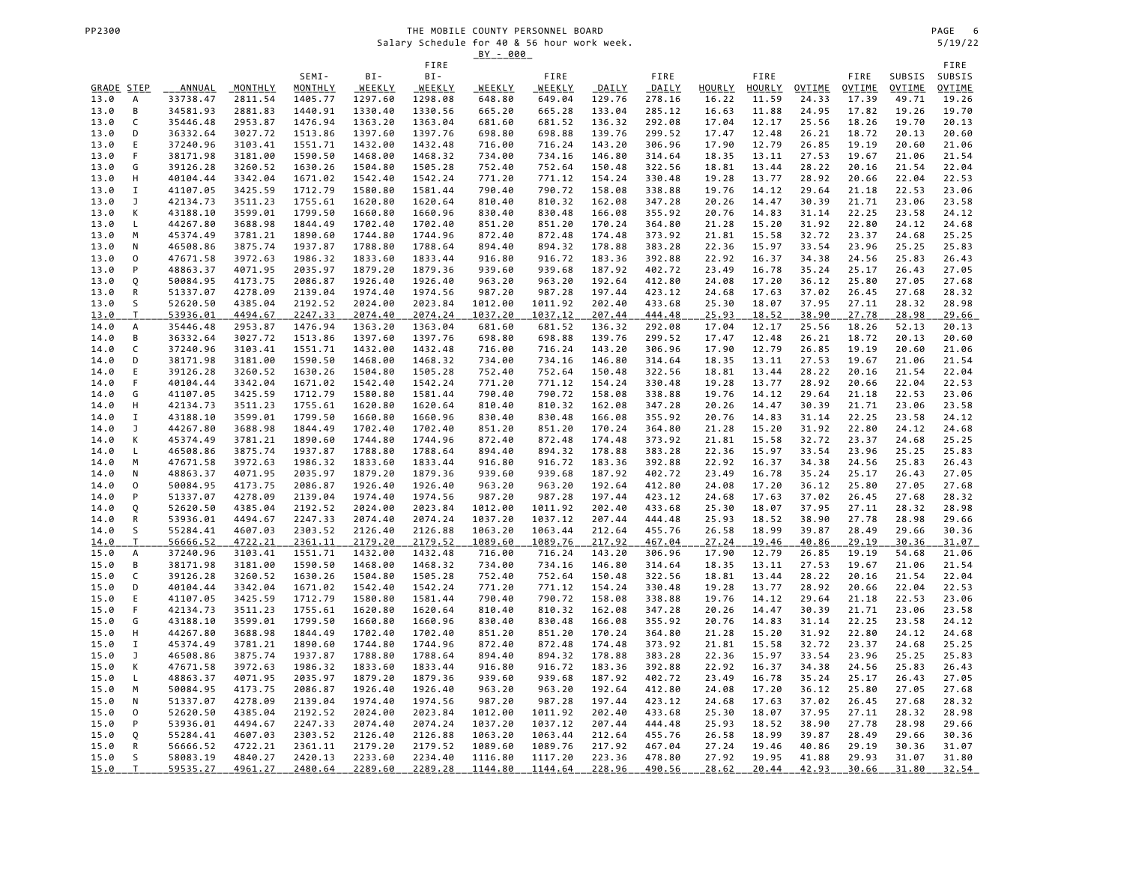# THE MOBILE COUNTY PERSONNEL BOARD<br>
Salary Schedule for 40 & 56 hour work week.<br>
Salary Schedule for 40 & 56 hour work week. Salary Schedule for 40 & 56 hour work week. 5/19/22

|                    |                     |                      |                    |                    |                    |                    | <u>BY - 000</u>  |                   |                  |                  |                 |                        |                 |                 |                 |                        |
|--------------------|---------------------|----------------------|--------------------|--------------------|--------------------|--------------------|------------------|-------------------|------------------|------------------|-----------------|------------------------|-----------------|-----------------|-----------------|------------------------|
|                    |                     |                      |                    |                    |                    | FIRE               |                  |                   |                  |                  |                 |                        |                 |                 |                 | FIRE                   |
|                    |                     |                      |                    | SEMI-              | BI-                | BI-                |                  | FIRE              |                  | FIRE             |                 | FIRE                   |                 | FIRE            | SUBSIS          | SUBSIS                 |
| GRADE STEP<br>13.0 | А                   | ANNUAL<br>33738.47   | MONTHLY<br>2811.54 | MONTHLY<br>1405.77 | WEEKLY<br>1297.60  | WEEKLY<br>1298.08  | WEEKLY<br>648.80 | WEEKLY<br>649.04  | DAILY<br>129.76  | DAILY<br>278.16  | HOURLY<br>16.22 | <b>HOURLY</b><br>11.59 | OVTIME<br>24.33 | OVTIME<br>17.39 | OVTIME<br>49.71 | <b>OVTIME</b><br>19.26 |
| 13.0               | B                   | 34581.93             | 2881.83            | 1440.91            | 1330.40            | 1330.56            | 665.20           | 665.28            | 133.04           | 285.12           | 16.63           | 11.88                  | 24.95           | 17.82           | 19.26           | 19.70                  |
| 13.0               | C                   | 35446.48             | 2953.87            | 1476.94            | 1363.20            | 1363.04            | 681.60           | 681.52            | 136.32           | 292.08           | 17.04           | 12.17                  | 25.56           | 18.26           | 19.70           | 20.13                  |
| 13.0               | D                   | 36332.64             | 3027.72            | 1513.86            | 1397.60            | 1397.76            | 698.80           | 698.88            | 139.76           | 299.52           | 17.47           | 12.48                  | 26.21           | 18.72           | 20.13           | 20.60                  |
| 13.0               | Ε                   | 37240.96             | 3103.41            | 1551.71            | 1432.00            | 1432.48            | 716.00           | 716.24            | 143.20           | 306.96           | 17.90           | 12.79                  | 26.85           | 19.19           | 20.60           | 21.06                  |
| 13.0               | F                   | 38171.98             | 3181.00            | 1590.50            | 1468.00            | 1468.32            | 734.00           | 734.16            | 146.80           | 314.64           | 18.35           | 13.11                  | 27.53           | 19.67           | 21.06           | 21.54                  |
| 13.0               | G                   | 39126.28             | 3260.52            | 1630.26            | 1504.80            | 1505.28            | 752.40           | 752.64            | 150.48           | 322.56           | 18.81           | 13.44                  | 28.22           | 20.16           | 21.54           | 22.04                  |
| 13.0               | Н                   | 40104.44             | 3342.04            | 1671.02            | 1542.40            | 1542.24            | 771.20           | 771.12            | 154.24           | 330.48           | 19.28           | 13.77                  | 28.92           | 20.66           | 22.04           | 22.53                  |
| 13.0               | I                   | 41107.05             | 3425.59            | 1712.79            | 1580.80            | 1581.44            | 790.40           | 790.72            | 158.08           | 338.88           | 19.76           | 14.12                  | 29.64           | 21.18           | 22.53           | 23.06                  |
| 13.0               | J                   | 42134.73             | 3511.23            | 1755.61            | 1620.80            | 1620.64            | 810.40           | 810.32            | 162.08           | 347.28           | 20.26           | 14.47                  | 30.39           | 21.71           | 23.06           | 23.58                  |
| 13.0<br>13.0       | К<br>L              | 43188.10<br>44267.80 | 3599.01<br>3688.98 | 1799.50<br>1844.49 | 1660.80<br>1702.40 | 1660.96<br>1702.40 | 830.40<br>851.20 | 830.48<br>851.20  | 166.08<br>170.24 | 355.92<br>364.80 | 20.76<br>21.28  | 14.83<br>15.20         | 31.14<br>31.92  | 22.25<br>22.80  | 23.58<br>24.12  | 24.12<br>24.68         |
| 13.0               | M                   | 45374.49             | 3781.21            | 1890.60            | 1744.80            | 1744.96            | 872.40           | 872.48            | 174.48           | 373.92           | 21.81           | 15.58                  | 32.72           | 23.37           | 24.68           | 25.25                  |
| 13.0               | N                   | 46508.86             | 3875.74            | 1937.87            | 1788.80            | 1788.64            | 894.40           | 894.32            | 178.88           | 383.28           | 22.36           | 15.97                  | 33.54           | 23.96           | 25.25           | 25.83                  |
| 13.0               | 0                   | 47671.58             | 3972.63            | 1986.32            | 1833.60            | 1833.44            | 916.80           | 916.72            | 183.36           | 392.88           | 22.92           | 16.37                  | 34.38           | 24.56           | 25.83           | 26.43                  |
| 13.0               | P                   | 48863.37             | 4071.95            | 2035.97            | 1879.20            | 1879.36            | 939.60           | 939.68            | 187.92           | 402.72           | 23.49           | 16.78                  | 35.24           | 25.17           | 26.43           | 27.05                  |
| 13.0               | Q                   | 50084.95             | 4173.75            | 2086.87            | 1926.40            | 1926.40            | 963.20           | 963.20            | 192.64           | 412.80           | 24.08           | 17.20                  | 36.12           | 25.80           | 27.05           | 27.68                  |
| 13.0               | ${\sf R}$           | 51337.07             | 4278.09            | 2139.04            | 1974.40            | 1974.56            | 987.20           | 987.28            | 197.44           | 423.12           | 24.68           | 17.63                  | 37.02           | 26.45           | 27.68           | 28.32                  |
| 13.0               | S                   | 52620.50             | 4385.04            | 2192.52            | 2024.00            | 2023.84            | 1012.00          | 1011.92           | 202.40           | 433.68           | 25.30           | 18.07                  | 37.95           | 27.11           | 28.32           | 28.98                  |
| <u>13.0</u>        | $\mathsf{T}$        | 53936.01             | 4494.67            | 2247.33            | 2074.40            | 2074.24            | 1037.20          | 1037.12           | 207.44           | 444.48           | 25.93           | <u>18.52</u>           | 38.90           | 27.78           | 28.98           | <u>29.66</u>           |
| 14.0<br>14.0       | A<br>В              | 35446.48<br>36332.64 | 2953.87<br>3027.72 | 1476.94<br>1513.86 | 1363.20<br>1397.60 | 1363.04<br>1397.76 | 681.60<br>698.80 | 681.52<br>698.88  | 136.32<br>139.76 | 292.08<br>299.52 | 17.04<br>17.47  | 12.17<br>12.48         | 25.56<br>26.21  | 18.26<br>18.72  | 52.13<br>20.13  | 20.13<br>20.60         |
| 14.0               | C                   | 37240.96             | 3103.41            | 1551.71            | 1432.00            | 1432.48            | 716.00           | 716.24            | 143.20           | 306.96           | 17.90           | 12.79                  | 26.85           | 19.19           | 20.60           | 21.06                  |
| 14.0               | D                   | 38171.98             | 3181.00            | 1590.50            | 1468.00            | 1468.32            | 734.00           | 734.16            | 146.80           | 314.64           | 18.35           | 13.11                  | 27.53           | 19.67           | 21.06           | 21.54                  |
| 14.0               | Ε                   | 39126.28             | 3260.52            | 1630.26            | 1504.80            | 1505.28            | 752.40           | 752.64            | 150.48           | 322.56           | 18.81           | 13.44                  | 28.22           | 20.16           | 21.54           | 22.04                  |
| 14.0               | F                   | 40104.44             | 3342.04            | 1671.02            | 1542.40            | 1542.24            | 771.20           | 771.12            | 154.24           | 330.48           | 19.28           | 13.77                  | 28.92           | 20.66           | 22.04           | 22.53                  |
| 14.0               | G                   | 41107.05             | 3425.59            | 1712.79            | 1580.80            | 1581.44            | 790.40           | 790.72            | 158.08           | 338.88           | 19.76           | 14.12                  | 29.64           | 21.18           | 22.53           | 23.06                  |
| 14.0               | Н                   | 42134.73             | 3511.23            | 1755.61            | 1620.80            | 1620.64            | 810.40           | 810.32            | 162.08           | 347.28           | 20.26           | 14.47                  | 30.39           | 21.71           | 23.06           | 23.58                  |
| 14.0               | I                   | 43188.10             | 3599.01            | 1799.50            | 1660.80            | 1660.96            | 830.40           | 830.48            | 166.08           | 355.92           | 20.76           | 14.83                  | 31.14           | 22.25           | 23.58           | 24.12                  |
| 14.0               | J                   | 44267.80             | 3688.98            | 1844.49            | 1702.40            | 1702.40            | 851.20           | 851.20            | 170.24           | 364.80           | 21.28           | 15.20                  | 31.92           | 22.80           | 24.12           | 24.68                  |
| 14.0<br>14.0       | К<br>L              | 45374.49<br>46508.86 | 3781.21<br>3875.74 | 1890.60<br>1937.87 | 1744.80<br>1788.80 | 1744.96<br>1788.64 | 872.40<br>894.40 | 872.48<br>894.32  | 174.48<br>178.88 | 373.92<br>383.28 | 21.81<br>22.36  | 15.58<br>15.97         | 32.72<br>33.54  | 23.37<br>23.96  | 24.68<br>25.25  | 25.25<br>25.83         |
| 14.0               | M                   | 47671.58             | 3972.63            | 1986.32            | 1833.60            | 1833.44            | 916.80           | 916.72            | 183.36           | 392.88           | 22.92           | 16.37                  | 34.38           | 24.56           | 25.83           | 26.43                  |
| 14.0               | N                   | 48863.37             | 4071.95            | 2035.97            | 1879.20            | 1879.36            | 939.60           | 939.68            | 187.92           | 402.72           | 23.49           | 16.78                  | 35.24           | 25.17           | 26.43           | 27.05                  |
| 14.0               | 0                   | 50084.95             | 4173.75            | 2086.87            | 1926.40            | 1926.40            | 963.20           | 963.20            | 192.64           | 412.80           | 24.08           | 17.20                  | 36.12           | 25.80           | 27.05           | 27.68                  |
| 14.0               | P                   | 51337.07             | 4278.09            | 2139.04            | 1974.40            | 1974.56            | 987.20           | 987.28            | 197.44           | 423.12           | 24.68           | 17.63                  | 37.02           | 26.45           | 27.68           | 28.32                  |
| 14.0               | Q                   | 52620.50             | 4385.04            | 2192.52            | 2024.00            | 2023.84            | 1012.00          | 1011.92           | 202.40           | 433.68           | 25.30           | 18.07                  | 37.95           | 27.11           | 28.32           | 28.98                  |
| 14.0               | R                   | 53936.01             | 4494.67            | 2247.33            | 2074.40            | 2074.24            | 1037.20          | 1037.12           | 207.44           | 444.48           | 25.93           | 18.52                  | 38.90           | 27.78           | 28.98           | 29.66                  |
| 14.0               | S                   | 55284.41             | 4607.03            | 2303.52            | 2126.40            | 2126.88            | 1063.20          | 1063.44           | 212.64           | 455.76           | 26.58           | 18.99                  | 39.87           | 28.49           | 29.66           | 30.36                  |
| 14.0<br>15.0       | $\mathsf T$         | 56666.52             | 4722.21<br>3103.41 | 2361.11            | 2179.20            | 2179.52            | 1089.60          | 1089.76<br>716.24 | 217.92<br>143.20 | 467.04           | 27.24           | 19.46<br>12.79         | 40.86           | 29.19<br>19.19  | 30.36<br>54.68  | 31.07<br>21.06         |
| 15.0               | А<br>B              | 37240.96<br>38171.98 | 3181.00            | 1551.71<br>1590.50 | 1432.00<br>1468.00 | 1432.48<br>1468.32 | 716.00<br>734.00 | 734.16            | 146.80           | 306.96<br>314.64 | 17.90<br>18.35  | 13.11                  | 26.85<br>27.53  | 19.67           | 21.06           | 21.54                  |
| 15.0               | C                   | 39126.28             | 3260.52            | 1630.26            | 1504.80            | 1505.28            | 752.40           | 752.64            | 150.48           | 322.56           | 18.81           | 13.44                  | 28.22           | 20.16           | 21.54           | 22.04                  |
| 15.0               | D                   | 40104.44             | 3342.04            | 1671.02            | 1542.40            | 1542.24            | 771.20           | 771.12            | 154.24           | 330.48           | 19.28           | 13.77                  | 28.92           | 20.66           | 22.04           | 22.53                  |
| 15.0               | Ε                   | 41107.05             | 3425.59            | 1712.79            | 1580.80            | 1581.44            | 790.40           | 790.72            | 158.08           | 338.88           | 19.76           | 14.12                  | 29.64           | 21.18           | 22.53           | 23.06                  |
| 15.0               | F                   | 42134.73             | 3511.23            | 1755.61            | 1620.80            | 1620.64            | 810.40           | 810.32            | 162.08           | 347.28           | 20.26           | 14.47                  | 30.39           | 21.71           | 23.06           | 23.58                  |
| 15.0               | G                   | 43188.10             | 3599.01            | 1799.50            | 1660.80            | 1660.96            | 830.40           | 830.48            | 166.08           | 355.92           | 20.76           | 14.83                  | 31.14           | 22.25           | 23.58           | 24.12                  |
| 15.0               | Н                   | 44267.80             | 3688.98            | 1844.49            | 1702.40            | 1702.40            | 851.20           | 851.20            | 170.24           | 364.80           | 21.28           | 15.20                  | 31.92           | 22.80           | 24.12           | 24.68                  |
| 15.0               | I                   | 45374.49             | 3781.21            | 1890.60            | 1744.80            | 1744.96            | 872.40           | 872.48            | 174.48           | 373.92           | 21.81           | 15.58                  | 32.72           | 23.37           | 24.68           | 25.25                  |
| 15.0               | J                   | 46508.86             | 3875.74            | 1937.87            | 1788.80            | 1788.64            | 894.40           | 894.32            | 178.88           | 383.28           | 22.36           | 15.97                  | 33.54           | 23.96           | 25.25           | 25.83                  |
| 15.0<br>15.0       | К<br>L              | 47671.58<br>48863.37 | 3972.63<br>4071.95 | 1986.32<br>2035.97 | 1833.60<br>1879.20 | 1833.44<br>1879.36 | 916.80<br>939.60 | 916.72<br>939.68  | 183.36<br>187.92 | 392.88<br>402.72 | 22.92<br>23.49  | 16.37<br>16.78         | 34.38<br>35.24  | 24.56<br>25.17  | 25.83<br>26.43  | 26.43<br>27.05         |
| 15.0               | M                   | 50084.95             | 4173.75            | 2086.87            | 1926.40            | 1926.40            | 963.20           | 963.20            | 192.64           | 412.80           | 24.08           | 17.20                  | 36.12           | 25.80           | 27.05           | 27.68                  |
| 15.0               | N                   | 51337.07             | 4278.09            | 2139.04            | 1974.40            | 1974.56            | 987.20           | 987.28            | 197.44           | 423.12           | 24.68           | 17.63                  | 37.02           | 26.45           | 27.68           | 28.32                  |
| 15.0               | $\mathsf{O}\xspace$ | 52620.50             | 4385.04            | 2192.52            | 2024.00            | 2023.84            | 1012.00          | 1011.92           | 202.40           | 433.68           | 25.30           | 18.07                  | 37.95           | 27.11           | 28.32           | 28.98                  |
| 15.0               | P                   | 53936.01             | 4494.67            | 2247.33            | 2074.40            | 2074.24            | 1037.20          | 1037.12           | 207.44           | 444.48           | 25.93           | 18.52                  | 38.90           | 27.78           | 28.98           | 29.66                  |
| 15.0               | Q                   | 55284.41             | 4607.03            | 2303.52            | 2126.40            | 2126.88            | 1063.20          | 1063.44           | 212.64           | 455.76           | 26.58           | 18.99                  | 39.87           | 28.49           | 29.66           | 30.36                  |
| 15.0               | ${\sf R}$           | 56666.52             | 4722.21            | 2361.11            | 2179.20            | 2179.52            | 1089.60          | 1089.76           | 217.92           | 467.04           | 27.24           | 19.46                  | 40.86           | 29.19           | 30.36           | 31.07                  |
| 15.0               | S                   | 58083.19             | 4840.27            | 2420.13            | 2233.60            | 2234.40            | 1116.80          | 1117.20           | 223.36           | 478.80           | 27.92           | 19.95                  | 41.88           | 29.93           | 31.07           | 31.80                  |
| 15.0               | T                   | 59535.27             | 4961.27            | 2480.64            | 2289.60            | 2289.28            | 1144.80          | 1144.64           | 228.96           | 490.56           | 28.62           | 20.44                  | 42.93           | 30.66           | 31.80           | 32.54                  |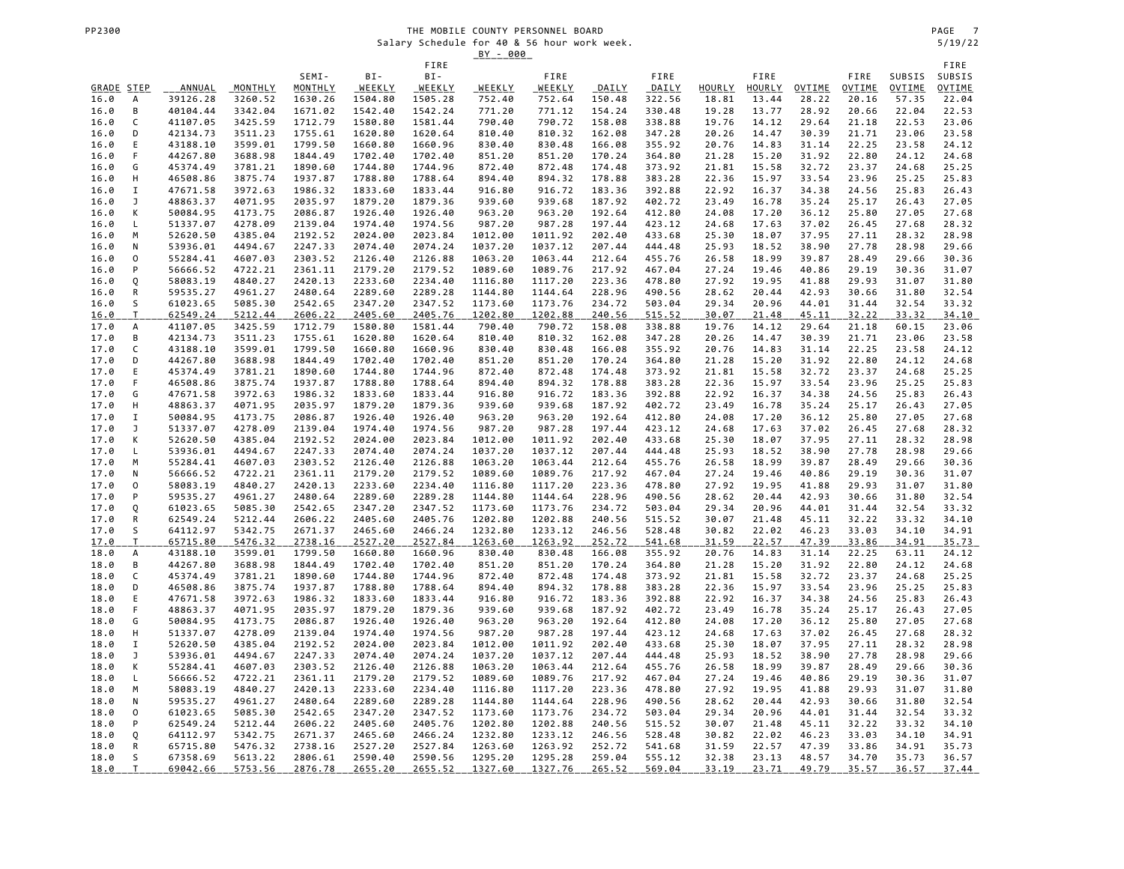# THE MOBILE COUNTY PERSONNEL BOARD<br>
Salary Schedule for 40 & 56 hour work week.<br>
Salary Schedule for 40 & 56 hour work week. Salary Schedule for 40 & 56 hour work week. 5/19/22

|              |                     |                      |                    |                    |                    |                    | <u>BY - 000</u>    |                    |                  |                  |                |                |                |                |                |                       |
|--------------|---------------------|----------------------|--------------------|--------------------|--------------------|--------------------|--------------------|--------------------|------------------|------------------|----------------|----------------|----------------|----------------|----------------|-----------------------|
|              |                     |                      |                    | SEMI-              | BI-                | FIRE<br>BI-        |                    | FIRE               |                  | FIRE             |                | FIRE           |                | FIRE           | SUBSIS         | FIRE<br>SUBSIS        |
| GRADE STEP   |                     | ANNUAL               | MONTHLY            | MONTHLY            | WEEKLY             | WEEKLY             | WEEKLY             | WEEKLY             | DAILY            | DAILY            | HOURLY         | HOURLY         | <b>OVTIME</b>  | <b>OVTIME</b>  | <b>OVTIME</b>  | <b>OVTIME</b>         |
| 16.0         | А                   | 39126.28             | 3260.52            | 1630.26            | 1504.80            | 1505.28            | 752.40             | 752.64             | 150.48           | 322.56           | 18.81          | 13.44          | 28.22          | 20.16          | 57.35          | 22.04                 |
| 16.0         | B                   | 40104.44             | 3342.04            | 1671.02            | 1542.40            | 1542.24            | 771.20             | 771.12             | 154.24           | 330.48           | 19.28          | 13.77          | 28.92          | 20.66          | 22.04          | 22.53                 |
| 16.0         | C                   | 41107.05             | 3425.59            | 1712.79            | 1580.80            | 1581.44            | 790.40             | 790.72             | 158.08           | 338.88           | 19.76          | 14.12          | 29.64          | 21.18          | 22.53          | 23.06                 |
| 16.0         | D                   | 42134.73             | 3511.23            | 1755.61            | 1620.80            | 1620.64            | 810.40             | 810.32             | 162.08           | 347.28           | 20.26          | 14.47          | 30.39          | 21.71          | 23.06          | 23.58                 |
| 16.0         | E                   | 43188.10             | 3599.01            | 1799.50            | 1660.80            | 1660.96            | 830.40             | 830.48             | 166.08           | 355.92           | 20.76          | 14.83          | 31.14          | 22.25          | 23.58          | 24.12                 |
| 16.0         | F                   | 44267.80             | 3688.98            | 1844.49            | 1702.40            | 1702.40            | 851.20             | 851.20             | 170.24           | 364.80           | 21.28          | 15.20          | 31.92          | 22.80          | 24.12          | 24.68                 |
| 16.0<br>16.0 | G<br>Н              | 45374.49<br>46508.86 | 3781.21<br>3875.74 | 1890.60<br>1937.87 | 1744.80<br>1788.80 | 1744.96<br>1788.64 | 872.40<br>894.40   | 872.48<br>894.32   | 174.48<br>178.88 | 373.92<br>383.28 | 21.81<br>22.36 | 15.58<br>15.97 | 32.72<br>33.54 | 23.37<br>23.96 | 24.68<br>25.25 | 25.25<br>25.83        |
| 16.0         | I                   | 47671.58             | 3972.63            | 1986.32            | 1833.60            | 1833.44            | 916.80             | 916.72             | 183.36           | 392.88           | 22.92          | 16.37          | 34.38          | 24.56          | 25.83          | 26.43                 |
| 16.0         | J                   | 48863.37             | 4071.95            | 2035.97            | 1879.20            | 1879.36            | 939.60             | 939.68             | 187.92           | 402.72           | 23.49          | 16.78          | 35.24          | 25.17          | 26.43          | 27.05                 |
| 16.0         | К                   | 50084.95             | 4173.75            | 2086.87            | 1926.40            | 1926.40            | 963.20             | 963.20             | 192.64           | 412.80           | 24.08          | 17.20          | 36.12          | 25.80          | 27.05          | 27.68                 |
| 16.0         | L                   | 51337.07             | 4278.09            | 2139.04            | 1974.40            | 1974.56            | 987.20             | 987.28             | 197.44           | 423.12           | 24.68          | 17.63          | 37.02          | 26.45          | 27.68          | 28.32                 |
| 16.0         | M                   | 52620.50             | 4385.04            | 2192.52            | 2024.00            | 2023.84            | 1012.00            | 1011.92            | 202.40           | 433.68           | 25.30          | 18.07          | 37.95          | 27.11          | 28.32          | 28.98                 |
| 16.0         | N                   | 53936.01             | 4494.67            | 2247.33            | 2074.40            | 2074.24            | 1037.20            | 1037.12            | 207.44           | 444.48           | 25.93          | 18.52          | 38.90          | 27.78          | 28.98          | 29.66                 |
| 16.0         | $\mathsf{O}\xspace$ | 55284.41             | 4607.03            | 2303.52            | 2126.40            | 2126.88            | 1063.20            | 1063.44            | 212.64           | 455.76           | 26.58          | 18.99          | 39.87          | 28.49          | 29.66          | 30.36                 |
| 16.0<br>16.0 | P<br>Q              | 56666.52<br>58083.19 | 4722.21<br>4840.27 | 2361.11<br>2420.13 | 2179.20<br>2233.60 | 2179.52<br>2234.40 | 1089.60<br>1116.80 | 1089.76<br>1117.20 | 217.92<br>223.36 | 467.04<br>478.80 | 27.24<br>27.92 | 19.46<br>19.95 | 40.86<br>41.88 | 29.19<br>29.93 | 30.36<br>31.07 | 31.07<br>31.80        |
| 16.0         | ${\sf R}$           | 59535.27             | 4961.27            | 2480.64            | 2289.60            | 2289.28            | 1144.80            | 1144.64            | 228.96           | 490.56           | 28.62          | 20.44          | 42.93          | 30.66          | 31.80          | 32.54                 |
| 16.0         | S                   | 61023.65             | 5085.30            | 2542.65            | 2347.20            | 2347.52            | 1173.60            | 1173.76            | 234.72           | 503.04           | 29.34          | 20.96          | 44.01          | 31.44          | 32.54          | 33.32                 |
| <u>16.0</u>  | T                   | 62549.24             | 5212.44            | 2606.22            | 2405.60            | 2405.76            | 1202.80            | 1202.88            | 240.56           | 515.52           | 30.07          | 21.48          | 45.11          | 32.22          | 33.32          | 34.10                 |
| 17.0         | А                   | 41107.05             | 3425.59            | 1712.79            | 1580.80            | 1581.44            | 790.40             | 790.72             | 158.08           | 338.88           | 19.76          | 14.12          | 29.64          | 21.18          | 60.15          | 23.06                 |
| 17.0         | В                   | 42134.73             | 3511.23            | 1755.61            | 1620.80            | 1620.64            | 810.40             | 810.32             | 162.08           | 347.28           | 20.26          | 14.47          | 30.39          | 21.71          | 23.06          | 23.58                 |
| 17.0         | C                   | 43188.10             | 3599.01            | 1799.50            | 1660.80            | 1660.96            | 830.40             | 830.48             | 166.08           | 355.92           | 20.76          | 14.83          | 31.14          | 22.25          | 23.58          | 24.12                 |
| 17.0         | D                   | 44267.80             | 3688.98            | 1844.49            | 1702.40            | 1702.40            | 851.20             | 851.20             | 170.24           | 364.80           | 21.28          | 15.20          | 31.92          | 22.80          | 24.12          | 24.68                 |
| 17.0<br>17.0 | Ε<br>F              | 45374.49<br>46508.86 | 3781.21<br>3875.74 | 1890.60<br>1937.87 | 1744.80<br>1788.80 | 1744.96<br>1788.64 | 872.40<br>894.40   | 872.48<br>894.32   | 174.48<br>178.88 | 373.92<br>383.28 | 21.81<br>22.36 | 15.58<br>15.97 | 32.72<br>33.54 | 23.37<br>23.96 | 24.68<br>25.25 | 25.25<br>25.83        |
| 17.0         | G                   | 47671.58             | 3972.63            | 1986.32            | 1833.60            | 1833.44            | 916.80             | 916.72             | 183.36           | 392.88           | 22.92          | 16.37          | 34.38          | 24.56          | 25.83          | 26.43                 |
| 17.0         | Н                   | 48863.37             | 4071.95            | 2035.97            | 1879.20            | 1879.36            | 939.60             | 939.68             | 187.92           | 402.72           | 23.49          | 16.78          | 35.24          | 25.17          | 26.43          | 27.05                 |
| 17.0         | I                   | 50084.95             | 4173.75            | 2086.87            | 1926.40            | 1926.40            | 963.20             | 963.20             | 192.64           | 412.80           | 24.08          | 17.20          | 36.12          | 25.80          | 27.05          | 27.68                 |
| 17.0         | J                   | 51337.07             | 4278.09            | 2139.04            | 1974.40            | 1974.56            | 987.20             | 987.28             | 197.44           | 423.12           | 24.68          | 17.63          | 37.02          | 26.45          | 27.68          | 28.32                 |
| 17.0         | К                   | 52620.50             | 4385.04            | 2192.52            | 2024.00            | 2023.84            | 1012.00            | 1011.92            | 202.40           | 433.68           | 25.30          | 18.07          | 37.95          | 27.11          | 28.32          | 28.98                 |
| 17.0         | Г                   | 53936.01             | 4494.67            | 2247.33            | 2074.40            | 2074.24            | 1037.20            | 1037.12            | 207.44           | 444.48           | 25.93          | 18.52          | 38.90          | 27.78          | 28.98          | 29.66                 |
| 17.0         | M                   | 55284.41             | 4607.03            | 2303.52            | 2126.40            | 2126.88            | 1063.20            | 1063.44            | 212.64           | 455.76           | 26.58          | 18.99          | 39.87          | 28.49          | 29.66          | 30.36                 |
| 17.0<br>17.0 | N<br>0              | 56666.52<br>58083.19 | 4722.21<br>4840.27 | 2361.11<br>2420.13 | 2179.20<br>2233.60 | 2179.52<br>2234.40 | 1089.60<br>1116.80 | 1089.76<br>1117.20 | 217.92<br>223.36 | 467.04<br>478.80 | 27.24<br>27.92 | 19.46<br>19.95 | 40.86<br>41.88 | 29.19<br>29.93 | 30.36<br>31.07 | 31.07<br>31.80        |
| 17.0         | P                   | 59535.27             | 4961.27            | 2480.64            | 2289.60            | 2289.28            | 1144.80            | 1144.64            | 228.96           | 490.56           | 28.62          | 20.44          | 42.93          | 30.66          | 31.80          | 32.54                 |
| 17.0         | Q                   | 61023.65             | 5085.30            | 2542.65            | 2347.20            | 2347.52            | 1173.60            | 1173.76            | 234.72           | 503.04           | 29.34          | 20.96          | 44.01          | 31.44          | 32.54          | 33.32                 |
| 17.0         | ${\sf R}$           | 62549.24             | 5212.44            | 2606.22            | 2405.60            | 2405.76            | 1202.80            | 1202.88            | 240.56           | 515.52           | 30.07          | 21.48          | 45.11          | 32.22          | 33.32          | 34.10                 |
| 17.0         | S                   | 64112.97             | 5342.75            | 2671.37            | 2465.60            | 2466.24            | 1232.80            | 1233.12            | 246.56           | 528.48           | 30.82          | 22.02          | 46.23          | 33.03          | 34.10          | 34.91                 |
| 17.0         | $\top$              | 65715.80             | 5476.32            | 2738.16            | 2527.20            | 2527.84            | 1263.60            | 1263.92            | 252.72           | 541.68           | 31.59          | 22.57          | 47.39          | 33.86          | 34.91          | $\frac{35.73}{24.12}$ |
| 18.0         | А                   | 43188.10             | 3599.01            | 1799.50            | 1660.80            | 1660.96            | 830.40             | 830.48             | 166.08           | 355.92           | 20.76          | 14.83          | 31.14          | 22.25          | 63.11          |                       |
| 18.0<br>18.0 | B<br>C              | 44267.80<br>45374.49 | 3688.98<br>3781.21 | 1844.49<br>1890.60 | 1702.40<br>1744.80 | 1702.40<br>1744.96 | 851.20<br>872.40   | 851.20<br>872.48   | 170.24<br>174.48 | 364.80<br>373.92 | 21.28<br>21.81 | 15.20<br>15.58 | 31.92<br>32.72 | 22.80<br>23.37 | 24.12<br>24.68 | 24.68<br>25.25        |
| 18.0         | D                   | 46508.86             | 3875.74            | 1937.87            | 1788.80            | 1788.64            | 894.40             | 894.32             | 178.88           | 383.28           | 22.36          | 15.97          | 33.54          | 23.96          | 25.25          | 25.83                 |
| 18.0         | $\mathsf E$         | 47671.58             | 3972.63            | 1986.32            | 1833.60            | 1833.44            | 916.80             | 916.72             | 183.36           | 392.88           | 22.92          | 16.37          | 34.38          | 24.56          | 25.83          | 26.43                 |
| 18.0         | F                   | 48863.37             | 4071.95            | 2035.97            | 1879.20            | 1879.36            | 939.60             | 939.68             | 187.92           | 402.72           | 23.49          | 16.78          | 35.24          | 25.17          | 26.43          | 27.05                 |
| 18.0         | G                   | 50084.95             | 4173.75            | 2086.87            | 1926.40            | 1926.40            | 963.20             | 963.20             | 192.64           | 412.80           | 24.08          | 17.20          | 36.12          | 25.80          | 27.05          | 27.68                 |
| 18.0         | Н                   | 51337.07             | 4278.09            | 2139.04            | 1974.40            | 1974.56            | 987.20             | 987.28             | 197.44           | 423.12           | 24.68          | 17.63          | 37.02          | 26.45          | 27.68          | 28.32                 |
| 18.0         | I                   | 52620.50             | 4385.04            | 2192.52            | 2024.00            | 2023.84            | 1012.00            | 1011.92            | 202.40           | 433.68           | 25.30          | 18.07          | 37.95          | 27.11          | 28.32          | 28.98                 |
| 18.0         | J                   | 53936.01             | 4494.67            | 2247.33            | 2074.40            | 2074.24            | 1037.20            | 1037.12            | 207.44           | 444.48           | 25.93          | 18.52          | 38.90          | 27.78          | 28.98          | 29.66                 |
| 18.0         | К<br>L              | 55284.41             | 4607.03            | 2303.52<br>2361.11 | 2126.40            | 2126.88            | 1063.20<br>1089.60 | 1063.44            | 212.64           | 455.76           | 26.58          | 18.99<br>19.46 | 39.87          | 28.49          | 29.66<br>30.36 | 30.36                 |
| 18.0<br>18.0 | M                   | 56666.52<br>58083.19 | 4722.21<br>4840.27 | 2420.13            | 2179.20<br>2233.60 | 2179.52<br>2234.40 | 1116.80            | 1089.76<br>1117.20 | 217.92<br>223.36 | 467.04<br>478.80 | 27.24<br>27.92 | 19.95          | 40.86<br>41.88 | 29.19<br>29.93 | 31.07          | 31.07<br>31.80        |
| 18.0         | N                   | 59535.27             | 4961.27            | 2480.64            | 2289.60            | 2289.28            | 1144.80            | 1144.64            | 228.96           | 490.56           | 28.62          | 20.44          | 42.93          | 30.66          | 31.80          | 32.54                 |
| 18.0         | 0                   | 61023.65             | 5085.30            | 2542.65            | 2347.20            | 2347.52            | 1173.60            | 1173.76            | 234.72           | 503.04           | 29.34          | 20.96          | 44.01          | 31.44          | 32.54          | 33.32                 |
| 18.0         | P                   | 62549.24             | 5212.44            | 2606.22            | 2405.60            | 2405.76            | 1202.80            | 1202.88            | 240.56           | 515.52           | 30.07          | 21.48          | 45.11          | 32.22          | 33.32          | 34.10                 |
| 18.0         | Q                   | 64112.97             | 5342.75            | 2671.37            | 2465.60            | 2466.24            | 1232.80            | 1233.12            | 246.56           | 528.48           | 30.82          | 22.02          | 46.23          | 33.03          | 34.10          | 34.91                 |
| 18.0         | R                   | 65715.80             | 5476.32            | 2738.16            | 2527.20            | 2527.84            | 1263.60            | 1263.92            | 252.72           | 541.68           | 31.59          | 22.57          | 47.39          | 33.86          | 34.91          | 35.73                 |
| 18.0         | S                   | 67358.69             | 5613.22            | 2806.61            | 2590.40            | 2590.56            | 1295.20            | 1295.28            | 259.04           | 555.12           | 32.38          | 23.13          | 48.57          | 34.70          | 35.73          | 36.57                 |
| 18.0         | T                   | 69042.66             | 5753.56            | 2876.78            | 2655.20            | 2655.52            | 1327.60            | 1327.76            | 265.52           | 569.04           | 33.19          | 23.71          | 49.79          | 35.57          | 36.57          | 37.44                 |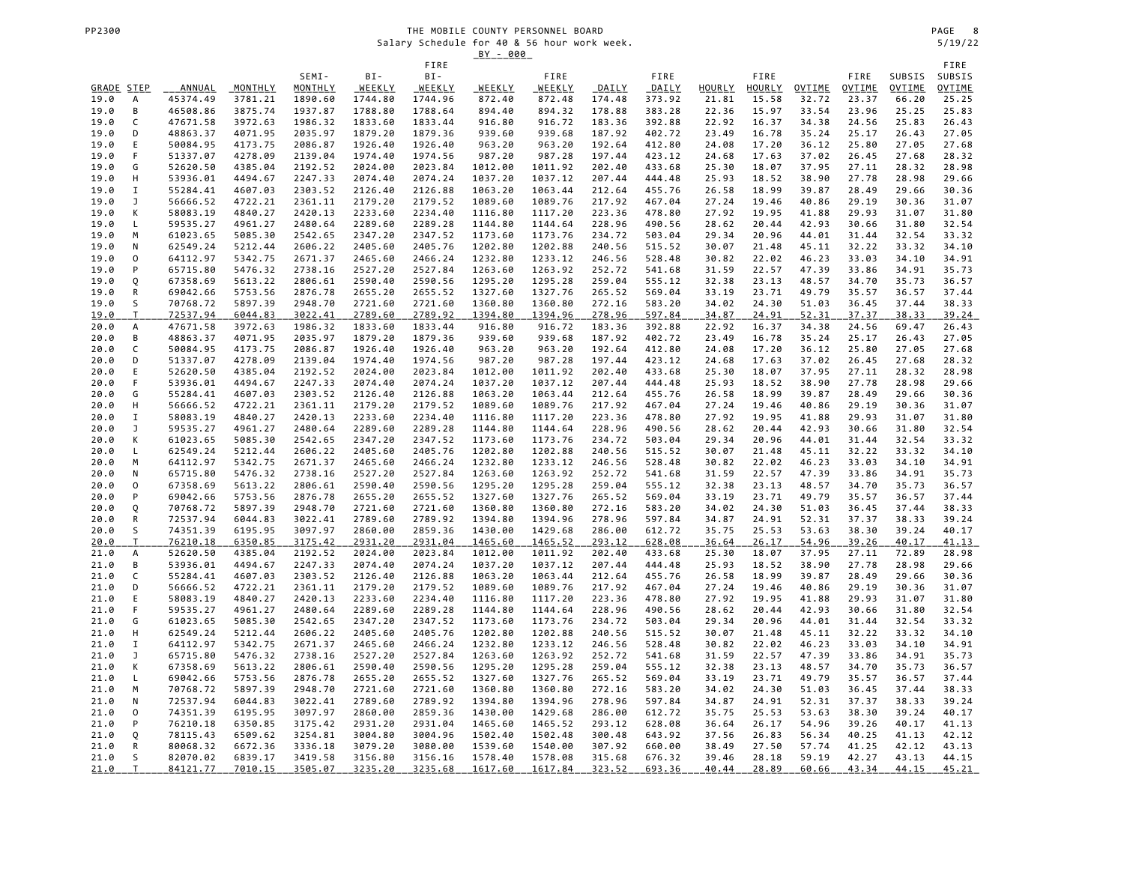# THE MOBILE COUNTY PERSONNEL BOARD<br>
Salary Schedule for 40 & 56 hour work week.<br>
Salary Schedule for 40 & 56 hour work week. Salary Schedule for 40 & 56 hour work week. 5/19/22

|                     |                     |                      |                    |                    |                           |                    | <u>BY - 000</u>    |                    |                  |                  |                |                       |                |                |                  |                         |
|---------------------|---------------------|----------------------|--------------------|--------------------|---------------------------|--------------------|--------------------|--------------------|------------------|------------------|----------------|-----------------------|----------------|----------------|------------------|-------------------------|
|                     |                     |                      |                    |                    |                           | FIRE               |                    |                    |                  |                  |                |                       |                |                |                  | FIRE                    |
| GRADE STEP          |                     | ANNUAL               | MONTHLY            | SEMI-<br>MONTHLY   | BI-<br>WEEKLY             | BI-<br>WEEKLY      | WEEKLY             | FIRE<br>WEEKLY     | DAILY            | FIRE<br>DAILY    | HOURLY         | FIRE<br><b>HOURLY</b> | OVTIME         | FIRE<br>OVTIME | SUBSIS<br>OVTIME | SUBSIS<br><b>OVTIME</b> |
| 19.0                | А                   | 45374.49             | 3781.21            | 1890.60            | 1744.80                   | 1744.96            | 872.40             | 872.48             | 174.48           | 373.92           | 21.81          | 15.58                 | 32.72          | 23.37          | 66.20            | 25.25                   |
| 19.0                | B                   | 46508.86             | 3875.74            | 1937.87            | 1788.80                   | 1788.64            | 894.40             | 894.32             | 178.88           | 383.28           | 22.36          | 15.97                 | 33.54          | 23.96          | 25.25            | 25.83                   |
| 19.0                | C                   | 47671.58             | 3972.63            | 1986.32            | 1833.60                   | 1833.44            | 916.80             | 916.72             | 183.36           | 392.88           | 22.92          | 16.37                 | 34.38          | 24.56          | 25.83            | 26.43                   |
| 19.0                | D                   | 48863.37             | 4071.95            | 2035.97            | 1879.20                   | 1879.36            | 939.60             | 939.68             | 187.92           | 402.72           | 23.49          | 16.78                 | 35.24          | 25.17          | 26.43            | 27.05                   |
| 19.0                | E                   | 50084.95             | 4173.75            | 2086.87            | 1926.40                   | 1926.40            | 963.20             | 963.20             | 192.64           | 412.80           | 24.08          | 17.20                 | 36.12          | 25.80          | 27.05            | 27.68                   |
| 19.0                | F                   | 51337.07             | 4278.09            | 2139.04            | 1974.40                   | 1974.56            | 987.20             | 987.28             | 197.44           | 423.12           | 24.68          | 17.63                 | 37.02          | 26.45          | 27.68            | 28.32                   |
| 19.0                | G                   | 52620.50             | 4385.04            | 2192.52            | 2024.00                   | 2023.84            | 1012.00            | 1011.92            | 202.40           | 433.68           | 25.30          | 18.07                 | 37.95          | 27.11          | 28.32            | 28.98                   |
| 19.0                | Н                   | 53936.01             | 4494.67            | 2247.33            | 2074.40                   | 2074.24            | 1037.20            | 1037.12            | 207.44           | 444.48           | 25.93          | 18.52                 | 38.90          | 27.78          | 28.98            | 29.66                   |
| 19.0                | $\mathbf I$         | 55284.41             | 4607.03            | 2303.52            | 2126.40                   | 2126.88            | 1063.20            | 1063.44            | 212.64           | 455.76           | 26.58          | 18.99                 | 39.87          | 28.49          | 29.66            | 30.36                   |
| 19.0<br>19.0        | J<br>К              | 56666.52<br>58083.19 | 4722.21<br>4840.27 | 2361.11<br>2420.13 | 2179.20<br>2233.60        | 2179.52<br>2234.40 | 1089.60<br>1116.80 | 1089.76<br>1117.20 | 217.92<br>223.36 | 467.04<br>478.80 | 27.24<br>27.92 | 19.46<br>19.95        | 40.86<br>41.88 | 29.19<br>29.93 | 30.36<br>31.07   | 31.07<br>31.80          |
| 19.0                | L                   | 59535.27             | 4961.27            | 2480.64            | 2289.60                   | 2289.28            | 1144.80            | 1144.64            | 228.96           | 490.56           | 28.62          | 20.44                 | 42.93          | 30.66          | 31.80            | 32.54                   |
| 19.0                | M                   | 61023.65             | 5085.30            | 2542.65            | 2347.20                   | 2347.52            | 1173.60            | 1173.76            | 234.72           | 503.04           | 29.34          | 20.96                 | 44.01          | 31.44          | 32.54            | 33.32                   |
| 19.0                | N                   | 62549.24             | 5212.44            | 2606.22            | 2405.60                   | 2405.76            | 1202.80            | 1202.88            | 240.56           | 515.52           | 30.07          | 21.48                 | 45.11          | 32.22          | 33.32            | 34.10                   |
| 19.0                | 0                   | 64112.97             | 5342.75            | 2671.37            | 2465.60                   | 2466.24            | 1232.80            | 1233.12            | 246.56           | 528.48           | 30.82          | 22.02                 | 46.23          | 33.03          | 34.10            | 34.91                   |
| 19.0                | P                   | 65715.80             | 5476.32            | 2738.16            | 2527.20                   | 2527.84            | 1263.60            | 1263.92            | 252.72           | 541.68           | 31.59          | 22.57                 | 47.39          | 33.86          | 34.91            | 35.73                   |
| 19.0                | Q                   | 67358.69             | 5613.22            | 2806.61            | 2590.40                   | 2590.56            | 1295.20            | 1295.28            | 259.04           | 555.12           | 32.38          | 23.13                 | 48.57          | 34.70          | 35.73            | 36.57                   |
| 19.0                | ${\sf R}$           | 69042.66             | 5753.56            | 2876.78            | 2655.20                   | 2655.52            | 1327.60            | 1327.76            | 265.52           | 569.04           | 33.19          | 23.71                 | 49.79          | 35.57          | 36.57            | 37.44                   |
| 19.0                | S                   | 70768.72             | 5897.39            | 2948.70            | 2721.60                   | 2721.60            | 1360.80            | 1360.80            | 272.16           | 583.20           | 34.02          | 24.30                 | 51.03          | 36.45          | 37.44            | 38.33                   |
| <u>19.0</u><br>20.0 | T<br>A              | 72537.94<br>47671.58 | 6044.83<br>3972.63 | 3022.41<br>1986.32 | <u>2789.60</u><br>1833.60 | 2789.92<br>1833.44 | 1394.80<br>916.80  | 1394.96<br>916.72  | 278.96<br>183.36 | 597.84<br>392.88 | 34.87<br>22.92 | 24.91<br>16.37        | 52.31<br>34.38 | 37.37<br>24.56 | 38.33<br>69.47   | <u>39.24</u><br>26.43   |
| 20.0                | В                   | 48863.37             | 4071.95            | 2035.97            | 1879.20                   | 1879.36            | 939.60             | 939.68             | 187.92           | 402.72           | 23.49          | 16.78                 | 35.24          | 25.17          | 26.43            | 27.05                   |
| 20.0                | C                   | 50084.95             | 4173.75            | 2086.87            | 1926.40                   | 1926.40            | 963.20             | 963.20             | 192.64           | 412.80           | 24.08          | 17.20                 | 36.12          | 25.80          | 27.05            | 27.68                   |
| 20.0                | D                   | 51337.07             | 4278.09            | 2139.04            | 1974.40                   | 1974.56            | 987.20             | 987.28             | 197.44           | 423.12           | 24.68          | 17.63                 | 37.02          | 26.45          | 27.68            | 28.32                   |
| 20.0                | Ε                   | 52620.50             | 4385.04            | 2192.52            | 2024.00                   | 2023.84            | 1012.00            | 1011.92            | 202.40           | 433.68           | 25.30          | 18.07                 | 37.95          | 27.11          | 28.32            | 28.98                   |
| 20.0                | F                   | 53936.01             | 4494.67            | 2247.33            | 2074.40                   | 2074.24            | 1037.20            | 1037.12            | 207.44           | 444.48           | 25.93          | 18.52                 | 38.90          | 27.78          | 28.98            | 29.66                   |
| 20.0                | G                   | 55284.41             | 4607.03            | 2303.52            | 2126.40                   | 2126.88            | 1063.20            | 1063.44            | 212.64           | 455.76           | 26.58          | 18.99                 | 39.87          | 28.49          | 29.66            | 30.36                   |
| 20.0                | Н                   | 56666.52             | 4722.21            | 2361.11            | 2179.20                   | 2179.52            | 1089.60            | 1089.76            | 217.92           | 467.04           | 27.24          | 19.46                 | 40.86          | 29.19          | 30.36            | 31.07                   |
| 20.0                | I<br>J              | 58083.19<br>59535.27 | 4840.27<br>4961.27 | 2420.13<br>2480.64 | 2233.60                   | 2234.40<br>2289.28 | 1116.80<br>1144.80 | 1117.20            | 223.36<br>228.96 | 478.80<br>490.56 | 27.92          | 19.95<br>20.44        | 41.88<br>42.93 | 29.93          | 31.07<br>31.80   | 31.80<br>32.54          |
| 20.0<br>20.0        | К                   | 61023.65             | 5085.30            | 2542.65            | 2289.60<br>2347.20        | 2347.52            | 1173.60            | 1144.64<br>1173.76 | 234.72           | 503.04           | 28.62<br>29.34 | 20.96                 | 44.01          | 30.66<br>31.44 | 32.54            | 33.32                   |
| 20.0                | L                   | 62549.24             | 5212.44            | 2606.22            | 2405.60                   | 2405.76            | 1202.80            | 1202.88            | 240.56           | 515.52           | 30.07          | 21.48                 | 45.11          | 32.22          | 33.32            | 34.10                   |
| 20.0                | M                   | 64112.97             | 5342.75            | 2671.37            | 2465.60                   | 2466.24            | 1232.80            | 1233.12            | 246.56           | 528.48           | 30.82          | 22.02                 | 46.23          | 33.03          | 34.10            | 34.91                   |
| 20.0                | N                   | 65715.80             | 5476.32            | 2738.16            | 2527.20                   | 2527.84            | 1263.60            | 1263.92            | 252.72           | 541.68           | 31.59          | 22.57                 | 47.39          | 33.86          | 34.91            | 35.73                   |
| 20.0                | 0                   | 67358.69             | 5613.22            | 2806.61            | 2590.40                   | 2590.56            | 1295.20            | 1295.28            | 259.04           | 555.12           | 32.38          | 23.13                 | 48.57          | 34.70          | 35.73            | 36.57                   |
| 20.0                | P                   | 69042.66             | 5753.56            | 2876.78            | 2655.20                   | 2655.52            | 1327.60            | 1327.76            | 265.52           | 569.04           | 33.19          | 23.71                 | 49.79          | 35.57          | 36.57            | 37.44                   |
| 20.0                | Q                   | 70768.72             | 5897.39            | 2948.70            | 2721.60                   | 2721.60            | 1360.80            | 1360.80            | 272.16           | 583.20           | 34.02          | 24.30                 | 51.03          | 36.45          | 37.44            | 38.33                   |
| 20.0                | R<br>S              | 72537.94             | 6044.83            | 3022.41            | 2789.60                   | 2789.92            | 1394.80            | 1394.96            | 278.96           | 597.84           | 34.87          | 24.91                 | 52.31          | 37.37          | 38.33            | 39.24                   |
| 20.0<br>20.0        | $\mathsf T$         | 74351.39<br>76210.18 | 6195.95<br>6350.85 | 3097.97<br>3175.42 | 2860.00<br>2931.20        | 2859.36<br>2931.04 | 1430.00<br>1465.60 | 1429.68<br>1465.52 | 286.00<br>293.12 | 612.72<br>628.08 | 35.75<br>36.64 | 25.53<br>26.17        | 53.63<br>54.96 | 38.30<br>39.26 | 39.24<br>40.17   | 40.17<br>41.13          |
| 21.0                | А                   | 52620.50             | 4385.04            | 2192.52            | 2024.00                   | 2023.84            | 1012.00            | 1011.92            | 202.40           | 433.68           | 25.30          | 18.07                 | 37.95          | 27.11          | 72.89            | 28.98                   |
| 21.0                | B                   | 53936.01             | 4494.67            | 2247.33            | 2074.40                   | 2074.24            | 1037.20            | 1037.12            | 207.44           | 444.48           | 25.93          | 18.52                 | 38.90          | 27.78          | 28.98            | 29.66                   |
| 21.0                | C                   | 55284.41             | 4607.03            | 2303.52            | 2126.40                   | 2126.88            | 1063.20            | 1063.44            | 212.64           | 455.76           | 26.58          | 18.99                 | 39.87          | 28.49          | 29.66            | 30.36                   |
| 21.0                | D                   | 56666.52             | 4722.21            | 2361.11            | 2179.20                   | 2179.52            | 1089.60            | 1089.76            | 217.92           | 467.04           | 27.24          | 19.46                 | 40.86          | 29.19          | 30.36            | 31.07                   |
| 21.0                | Ε                   | 58083.19             | 4840.27            | 2420.13            | 2233.60                   | 2234.40            | 1116.80            | 1117.20            | 223.36           | 478.80           | 27.92          | 19.95                 | 41.88          | 29.93          | 31.07            | 31.80                   |
| 21.0                | F                   | 59535.27             | 4961.27            | 2480.64            | 2289.60                   | 2289.28            | 1144.80            | 1144.64            | 228.96           | 490.56           | 28.62          | 20.44                 | 42.93          | 30.66          | 31.80            | 32.54                   |
| 21.0                | G<br>Н              | 61023.65<br>62549.24 | 5085.30<br>5212.44 | 2542.65            | 2347.20                   | 2347.52<br>2405.76 | 1173.60            | 1173.76            | 234.72           | 503.04           | 29.34          | 20.96                 | 44.01          | 31.44          | 32.54            | 33.32                   |
| 21.0<br>21.0        | I                   | 64112.97             | 5342.75            | 2606.22<br>2671.37 | 2405.60<br>2465.60        | 2466.24            | 1202.80<br>1232.80 | 1202.88<br>1233.12 | 240.56<br>246.56 | 515.52<br>528.48 | 30.07<br>30.82 | 21.48<br>22.02        | 45.11<br>46.23 | 32.22<br>33.03 | 33.32<br>34.10   | 34.10<br>34.91          |
| 21.0                | J                   | 65715.80             | 5476.32            | 2738.16            | 2527.20                   | 2527.84            | 1263.60            | 1263.92            | 252.72           | 541.68           | 31.59          | 22.57                 | 47.39          | 33.86          | 34.91            | 35.73                   |
| 21.0                | К                   | 67358.69             | 5613.22            | 2806.61            | 2590.40                   | 2590.56            | 1295.20            | 1295.28            | 259.04           | 555.12           | 32.38          | 23.13                 | 48.57          | 34.70          | 35.73            | 36.57                   |
| 21.0                | L                   | 69042.66             | 5753.56            | 2876.78            | 2655.20                   | 2655.52            | 1327.60            | 1327.76            | 265.52           | 569.04           | 33.19          | 23.71                 | 49.79          | 35.57          | 36.57            | 37.44                   |
| 21.0                | M                   | 70768.72             | 5897.39            | 2948.70            | 2721.60                   | 2721.60            | 1360.80            | 1360.80            | 272.16           | 583.20           | 34.02          | 24.30                 | 51.03          | 36.45          | 37.44            | 38.33                   |
| 21.0                | N                   | 72537.94             | 6044.83            | 3022.41            | 2789.60                   | 2789.92            | 1394.80            | 1394.96            | 278.96           | 597.84           | 34.87          | 24.91                 | 52.31          | 37.37          | 38.33            | 39.24                   |
| 21.0                | $\mathsf{O}\xspace$ | 74351.39             | 6195.95            | 3097.97            | 2860.00                   | 2859.36            | 1430.00            | 1429.68            | 286.00           | 612.72           | 35.75          | 25.53                 | 53.63          | 38.30          | 39.24            | 40.17                   |
| 21.0                | P                   | 76210.18             | 6350.85            | 3175.42            | 2931.20                   | 2931.04            | 1465.60            | 1465.52            | 293.12           | 628.08           | 36.64          | 26.17                 | 54.96          | 39.26          | 40.17            | 41.13                   |
| 21.0<br>21.0        | Q<br>${\sf R}$      | 78115.43<br>80068.32 | 6509.62<br>6672.36 | 3254.81<br>3336.18 | 3004.80<br>3079.20        | 3004.96<br>3080.00 | 1502.40<br>1539.60 | 1502.48<br>1540.00 | 300.48<br>307.92 | 643.92<br>660.00 | 37.56<br>38.49 | 26.83<br>27.50        | 56.34<br>57.74 | 40.25<br>41.25 | 41.13<br>42.12   | 42.12<br>43.13          |
| 21.0                | S                   | 82070.02             | 6839.17            | 3419.58            | 3156.80                   | 3156.16            | 1578.40            | 1578.08            | 315.68           | 676.32           | 39.46          | 28.18                 | 59.19          | 42.27          | 43.13            | 44.15                   |
| 21.0                | T                   | 84121.77             | 7010.15            | 3505.07            | 3235.20                   | 3235.68            | 1617.60            | 1617.84            | 323.52           | 693.36           | 40.44          | 28.89                 | 60.66          | 43.34          | 44.15            | 45.21                   |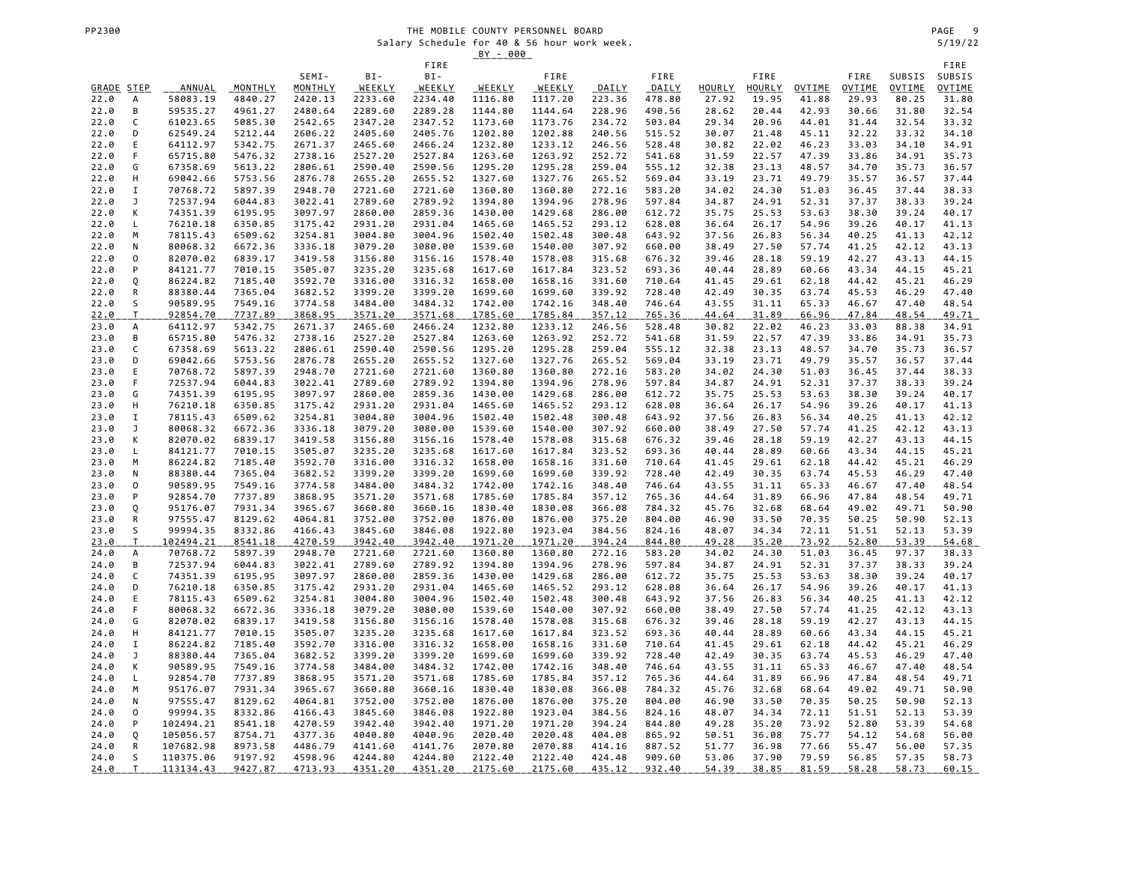|              |              |                      |                    |                    |                    | FIRE               |                    |                    |                  |                  |                |                |                |                |                | FIRE           |
|--------------|--------------|----------------------|--------------------|--------------------|--------------------|--------------------|--------------------|--------------------|------------------|------------------|----------------|----------------|----------------|----------------|----------------|----------------|
|              |              |                      |                    | SEMI-              | BI-                | BI-                |                    | FIRE               |                  | FIRE             |                | FIRE           |                | FIRE           | SUBSIS         | SUBSIS         |
| GRADE STEP   |              | ANNUAL               | MONTHLY            | MONTHLY            | WEEKLY             | WEEKLY             | WEEKLY             | WEEKLY             | DAILY            | DAILY            | HOURLY         | HOURLY         | OVTIME         | OVTIME         | OVTIME         | <b>OVTIME</b>  |
| 22.0         | А            | 58083.19             | 4840.27            | 2420.13            | 2233.60            | 2234.40            | 1116.80            | 1117.20            | 223.36           | 478.80           | 27.92          | 19.95          | 41.88          | 29.93          | 80.25          | 31.80          |
| 22.0         | B            | 59535.27             | 4961.27            | 2480.64            | 2289.60            | 2289.28            | 1144.80            | 1144.64            | 228.96           | 490.56           | 28.62          | 20.44          | 42.93          | 30.66          | 31.80          | 32.54          |
| 22.0         | C            | 61023.65             | 5085.30            | 2542.65            | 2347.20            | 2347.52            | 1173.60            | 1173.76            | 234.72           | 503.04           | 29.34          | 20.96          | 44.01          | 31.44          | 32.54          | 33.32          |
| 22.0         | D            | 62549.24             | 5212.44            | 2606.22            | 2405.60            | 2405.76            | 1202.80            | 1202.88            | 240.56           | 515.52           | 30.07          | 21.48          | 45.11          | 32.22          | 33.32          | 34.10          |
| 22.0         | E            | 64112.97             | 5342.75            | 2671.37            | 2465.60            | 2466.24            | 1232.80            | 1233.12            | 246.56           | 528.48           | 30.82          | 22.02          | 46.23          | 33.03          | 34.10          | 34.91          |
| 22.0         | F            | 65715.80             | 5476.32            | 2738.16            | 2527.20            | 2527.84            | 1263.60            | 1263.92            | 252.72           | 541.68           | 31.59          | 22.57          | 47.39          | 33.86          | 34.91          | 35.73          |
| 22.0         | G            | 67358.69             | 5613.22            | 2806.61            | 2590.40            | 2590.56            | 1295.20            | 1295.28            | 259.04           | 555.12           | 32.38          | 23.13          | 48.57          | 34.70          | 35.73          | 36.57          |
| 22.0         | н            | 69042.66             | 5753.56            | 2876.78            | 2655.20            | 2655.52            | 1327.60            | 1327.76            | 265.52           | 569.04           | 33.19          | 23.71          | 49.79          | 35.57          | 36.57          | 37.44          |
| 22.0         | I            | 70768.72             | 5897.39            | 2948.70            | 2721.60            | 2721.60            | 1360.80            | 1360.80            | 272.16           | 583.20           | 34.02          | 24.30          | 51.03          | 36.45          | 37.44          | 38.33          |
| 22.0         | J            | 72537.94             | 6044.83            | 3022.41            | 2789.60            | 2789.92            | 1394.80            | 1394.96            | 278.96           | 597.84           | 34.87          | 24.91          | 52.31          | 37.37          | 38.33          | 39.24          |
| 22.0         | K            | 74351.39             | 6195.95            | 3097.97            | 2860.00            | 2859.36            | 1430.00            | 1429.68            | 286.00           | 612.72           | 35.75          | 25.53          | 53.63          | 38.30          | 39.24          | 40.17          |
| 22.0         | L            | 76210.18             | 6350.85            | 3175.42            | 2931.20            | 2931.04            | 1465.60            | 1465.52            | 293.12           | 628.08           | 36.64          | 26.17          | 54.96          | 39.26          | 40.17          | 41.13          |
| 22.0         | M            | 78115.43             | 6509.62            | 3254.81            | 3004.80            | 3004.96            | 1502.40            | 1502.48            | 300.48           | 643.92           | 37.56          | 26.83          | 56.34          | 40.25          | 41.13          | 42.12          |
| 22.0         | N            | 80068.32             | 6672.36            | 3336.18            | 3079.20            | 3080.00            | 1539.60            | 1540.00            | 307.92           | 660.00           | 38.49          | 27.50          | 57.74          | 41.25          | 42.12          | 43.13          |
| 22.0         | 0            | 82070.02             | 6839.17            | 3419.58            | 3156.80            | 3156.16            | 1578.40            | 1578.08            | 315.68           | 676.32           | 39.46          | 28.18          | 59.19          | 42.27          | 43.13          | 44.15          |
| 22.0         | P            | 84121.77             | 7010.15            | 3505.07            | 3235.20            | 3235.68            | 1617.60            | 1617.84            | 323.52           | 693.36           | 40.44          | 28.89          | 60.66          | 43.34          | 44.15          | 45.21          |
| 22.0         | Q            | 86224.82             | 7185.40            | 3592.70            | 3316.00            | 3316.32            | 1658.00            | 1658.16            | 331.60           | 710.64           | 41.45          | 29.61          | 62.18          | 44.42          | 45.21          | 46.29          |
| 22.0         | ${\sf R}$    | 88380.44             | 7365.04            | 3682.52            | 3399.20            | 3399.20            | 1699.60            | 1699.60            | 339.92           | 728.40           | 42.49          | 30.35          | 63.74          | 45.53          | 46.29          | 47.40          |
| 22.0         | S            | 90589.95             | 7549.16            | 3774.58            | 3484.00            | 3484.32            | 1742.00            | 1742.16            | 348.40           | 746.64           | 43.55          | 31.11          | 65.33          | 46.67          | 47.40          | 48.54          |
| 22.0         | $\mathsf T$  | 92854.70             | 7737.89            | 3868.95            | 3571.20            | 3571.68            | 1785.60            | 1785.84            | 357.12           | 765.36           | 44.64          | 31.89          | 66.96          | 47.84          | 48.54          | 49.71          |
| 23.0         | А<br>B       | 64112.97             | 5342.75            | 2671.37            | 2465.60            | 2466.24            | 1232.80            | 1233.12            | 246.56           | 528.48           | 30.82          | 22.02          | 46.23          | 33.03          | 88.38          | 34.91          |
| 23.0<br>23.0 | C            | 65715.80<br>67358.69 | 5476.32<br>5613.22 | 2738.16<br>2806.61 | 2527.20<br>2590.40 | 2527.84            | 1263.60<br>1295.20 | 1263.92<br>1295.28 | 252.72<br>259.04 | 541.68<br>555.12 | 31.59<br>32.38 | 22.57<br>23.13 | 47.39<br>48.57 | 33.86<br>34.70 | 34.91<br>35.73 | 35.73          |
| 23.0         | D            | 69042.66             | 5753.56            | 2876.78            | 2655.20            | 2590.56<br>2655.52 | 1327.60            | 1327.76            | 265.52           | 569.04           | 33.19          | 23.71          | 49.79          | 35.57          | 36.57          | 36.57<br>37.44 |
| 23.0         | Ε            | 70768.72             | 5897.39            | 2948.70            | 2721.60            | 2721.60            | 1360.80            | 1360.80            | 272.16           | 583.20           | 34.02          | 24.30          | 51.03          | 36.45          | 37.44          | 38.33          |
| 23.0         | F            | 72537.94             | 6044.83            | 3022.41            | 2789.60            | 2789.92            | 1394.80            | 1394.96            | 278.96           | 597.84           | 34.87          | 24.91          | 52.31          | 37.37          | 38.33          | 39.24          |
| 23.0         | G            | 74351.39             | 6195.95            | 3097.97            | 2860.00            | 2859.36            | 1430.00            | 1429.68            | 286.00           | 612.72           | 35.75          | 25.53          | 53.63          | 38.30          | 39.24          | 40.17          |
| 23.0         | Н            | 76210.18             | 6350.85            | 3175.42            | 2931.20            | 2931.04            | 1465.60            | 1465.52            | 293.12           | 628.08           | 36.64          | 26.17          | 54.96          | 39.26          | 40.17          | 41.13          |
| 23.0         | Ι.           | 78115.43             | 6509.62            | 3254.81            | 3004.80            | 3004.96            | 1502.40            | 1502.48            | 300.48           | 643.92           | 37.56          | 26.83          | 56.34          | 40.25          | 41.13          | 42.12          |
| 23.0         | J            | 80068.32             | 6672.36            | 3336.18            | 3079.20            | 3080.00            | 1539.60            | 1540.00            | 307.92           | 660.00           | 38.49          | 27.50          | 57.74          | 41.25          | 42.12          | 43.13          |
| 23.0         | К            | 82070.02             | 6839.17            | 3419.58            | 3156.80            | 3156.16            | 1578.40            | 1578.08            | 315.68           | 676.32           | 39.46          | 28.18          | 59.19          | 42.27          | 43.13          | 44.15          |
| 23.0         | L            | 84121.77             | 7010.15            | 3505.07            | 3235.20            | 3235.68            | 1617.60            | 1617.84            | 323.52           | 693.36           | 40.44          | 28.89          | 60.66          | 43.34          | 44.15          | 45.21          |
| 23.0         | M            | 86224.82             | 7185.40            | 3592.70            | 3316.00            | 3316.32            | 1658.00            | 1658.16            | 331.60           | 710.64           | 41.45          | 29.61          | 62.18          | 44.42          | 45.21          | 46.29          |
| 23.0         | N            | 88380.44             | 7365.04            | 3682.52            | 3399.20            | 3399.20            | 1699.60            | 1699.60            | 339.92           | 728.40           | 42.49          | 30.35          | 63.74          | 45.53          | 46.29          | 47.40          |
| 23.0         | 0            | 90589.95             | 7549.16            | 3774.58            | 3484.00            | 3484.32            | 1742.00            | 1742.16            | 348.40           | 746.64           | 43.55          | 31.11          | 65.33          | 46.67          | 47.40          | 48.54          |
| 23.0         | P            | 92854.70             | 7737.89            | 3868.95            | 3571.20            | 3571.68            | 1785.60            | 1785.84            | 357.12           | 765.36           | 44.64          | 31.89          | 66.96          | 47.84          | 48.54          | 49.71          |
| 23.0         | Q            | 95176.07             | 7931.34            | 3965.67            | 3660.80            | 3660.16            | 1830.40            | 1830.08            | 366.08           | 784.32           | 45.76          | 32.68          | 68.64          | 49.02          | 49.71          | 50.90          |
| 23.0         | ${\sf R}$    | 97555.47             | 8129.62            | 4064.81            | 3752.00            | 3752.00            | 1876.00            | 1876.00            | 375.20           | 804.00           | 46.90          | 33.50          | 70.35          | 50.25          | 50.90          | 52.13          |
| 23.0         | S            | 99994.35             | 8332.86            | 4166.43            | 3845.60            | 3846.08            | 1922.80            | 1923.04            | 384.56           | 824.16           | 48.07          | 34.34          | 72.11          | 51.51          | 52.13          | 53.39          |
| 23.0         | $\mathsf{T}$ | 102494.21            | 8541.18            | 4270.59            | 3942.40            | 3942.40            | 1971.20            | 1971.20            | 394.24           | 844.80           | 49.28          | 35.20          | 73.92          | 52.80          | 53.39          | 54.68          |
| 24.0         | А            | 70768.72             | 5897.39            | 2948.70            | 2721.60            | 2721.60            | 1360.80            | 1360.80            | 272.16           | 583.20           | 34.02          | 24.30          | 51.03          | 36.45          | 97.37          | 38.33          |
| 24.0         | В            | 72537.94             | 6044.83            | 3022.41            | 2789.60            | 2789.92            | 1394.80            | 1394.96            | 278.96           | 597.84           | 34.87          | 24.91          | 52.31          | 37.37          | 38.33          | 39.24          |
| 24.0         | $\mathsf C$  | 74351.39             | 6195.95            | 3097.97            | 2860.00            | 2859.36            | 1430.00            | 1429.68            | 286.00           | 612.72           | 35.75          | 25.53          | 53.63          | 38.30          | 39.24          | 40.17          |
| 24.0         | D            | 76210.18             | 6350.85            | 3175.42            | 2931.20            | 2931.04            | 1465.60            | 1465.52            | 293.12           | 628.08           | 36.64          | 26.17          | 54.96          | 39.26          | 40.17          | 41.13          |
| 24.0         | E            | 78115.43             | 6509.62            | 3254.81            | 3004.80            | 3004.96            | 1502.40            | 1502.48            | 300.48           | 643.92           | 37.56          | 26.83          | 56.34          | 40.25          | 41.13          | 42.12          |
| 24.0         | F            | 80068.32             | 6672.36            | 3336.18            | 3079.20            | 3080.00            | 1539.60            | 1540.00            | 307.92           | 660.00           | 38.49          | 27.50          | 57.74          | 41.25          | 42.12          | 43.13          |
| 24.0         | G            | 82070.02             | 6839.17            | 3419.58            | 3156.80            | 3156.16            | 1578.40            | 1578.08            | 315.68           | 676.32           | 39.46          | 28.18          | 59.19          | 42.27          | 43.13          | 44.15          |
| 24.0         | н            | 84121.77             | 7010.15            | 3505.07            | 3235.20            | 3235.68            | 1617.60            | 1617.84            | 323.52           | 693.36           | 40.44          | 28.89          | 60.66          | 43.34          | 44.15          | 45.21          |
| 24.0         | I            | 86224.82             | 7185.40            | 3592.70            | 3316.00            | 3316.32            | 1658.00            | 1658.16            | 331.60           | 710.64           | 41.45          | 29.61          | 62.18          | 44.42          | 45.21          | 46.29          |
| 24.0         | J            | 88380.44             | 7365.04            | 3682.52            | 3399.20            | 3399.20            | 1699.60            | 1699.60            | 339.92           | 728.40           | 42.49          | 30.35          | 63.74          | 45.53          | 46.29          | 47.40          |
| 24.0         | К            | 90589.95             | 7549.16            | 3774.58            | 3484.00            | 3484.32            | 1742.00            | 1742.16            | 348.40           | 746.64           | 43.55          | 31.11          | 65.33          | 46.67          | 47.40          | 48.54          |
| 24.0         | L            | 92854.70             | 7737.89            | 3868.95            | 3571.20            | 3571.68            | 1785.60            | 1785.84            | 357.12           | 765.36           | 44.64          | 31.89          | 66.96          | 47.84          | 48.54          | 49.71          |
| 24.0         | M            | 95176.07             | 7931.34            | 3965.67            | 3660.80            | 3660.16            | 1830.40            | 1830.08            | 366.08           | 784.32           | 45.76          | 32.68          | 68.64          | 49.02          | 49.71          | 50.90          |
| 24.0         | N<br>0       | 97555.47<br>99994.35 | 8129.62            | 4064.81<br>4166.43 | 3752.00            | 3752.00            | 1876.00            | 1876.00            | 375.20<br>384.56 | 804.00<br>824.16 | 46.90          | 33.50<br>34.34 | 70.35          | 50.25<br>51.51 | 50.90<br>52.13 | 52.13          |
| 24.0<br>24.0 | P            | 102494.21            | 8332.86<br>8541.18 | 4270.59            | 3845.60<br>3942.40 | 3846.08<br>3942.40 | 1922.80<br>1971.20 | 1923.04<br>1971.20 | 394.24           | 844.80           | 48.07<br>49.28 | 35.20          | 72.11<br>73.92 | 52.80          | 53.39          | 53.39<br>54.68 |
| 24.0         | Q            | 105056.57            | 8754.71            | 4377.36            | 4040.80            | 4040.96            | 2020.40            | 2020.48            | 404.08           | 865.92           | 50.51          | 36.08          | 75.77          | 54.12          | 54.68          | 56.00          |
| 24.0         | R            | 107682.98            | 8973.58            | 4486.79            | 4141.60            | 4141.76            | 2070.80            | 2070.88            | 414.16           | 887.52           | 51.77          | 36.98          | 77.66          | 55.47          | 56.00          | 57.35          |
| 24.0         | S            | 110375.06            | 9197.92            | 4598.96            | 4244.80            | 4244.80            | 2122.40            | 2122.40            | 424.48           | 909.60           | 53.06          | 37.90          | 79.59          | 56.85          | 57.35          | 58.73          |
| 24.0         | T            | 113134.43            | 9427.87            | 4713.93            | 4351.20            | 4351.20            | 2175.60            | 2175.60            | 435.12           | 932.40           | 54.39          | 38.85          | 81.59          | 58.28          | 58.73          | 60.15          |
|              |              |                      |                    |                    |                    |                    |                    |                    |                  |                  |                |                |                |                |                |                |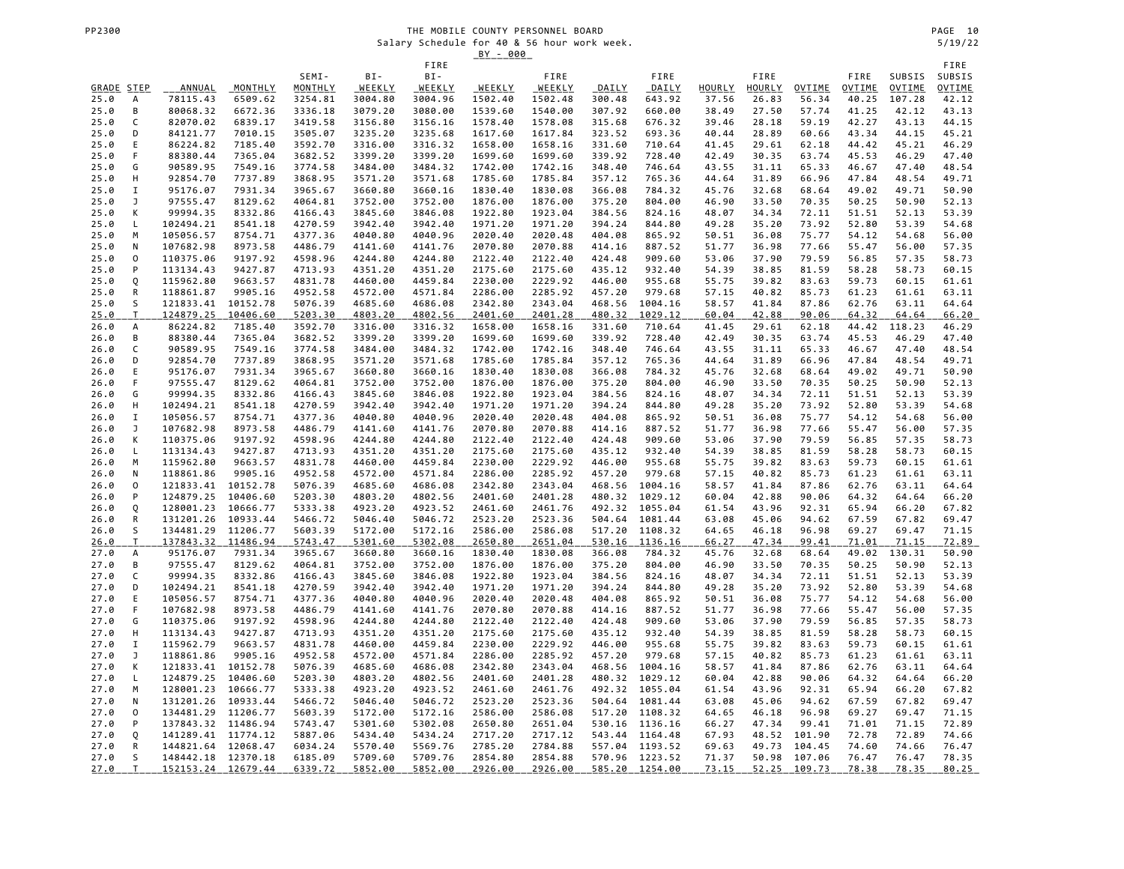|              |                     |                        |                      |                    |                    |                    | <u>BY - 000</u>    |                    |                  |                    |                |                |                |                |                |                |
|--------------|---------------------|------------------------|----------------------|--------------------|--------------------|--------------------|--------------------|--------------------|------------------|--------------------|----------------|----------------|----------------|----------------|----------------|----------------|
|              |                     |                        |                      | SEMI-              | BI-                | FIRE<br>BI-        |                    | FIRE               |                  | FIRE               |                | FIRE           |                | FIRE           | SUBSIS         | FIRE<br>SUBSIS |
| GRADE STEP   |                     | <b>ANNUAL</b>          | MONTHLY              | MONTHLY            | WEEKLY             | <u>WEEKLY</u>      | WEEKLY             | <b>WEEKLY</b>      | DAILY            | DAILY              | HOURLY         | HOURLY         | OVTIME         | OVTIME         | OVTIME         | <b>OVTIME</b>  |
| 25.0         | А                   | 78115.43               | 6509.62              | 3254.81            | 3004.80            | 3004.96            | 1502.40            | 1502.48            | 300.48           | 643.92             | 37.56          | 26.83          | 56.34          | 40.25          | 107.28         | 42.12          |
| 25.0         | B                   | 80068.32               | 6672.36              | 3336.18            | 3079.20            | 3080.00            | 1539.60            | 1540.00            | 307.92           | 660.00             | 38.49          | 27.50          | 57.74          | 41.25          | 42.12          | 43.13          |
| 25.0         | C                   | 82070.02               | 6839.17              | 3419.58            | 3156.80            | 3156.16            | 1578.40            | 1578.08            | 315.68           | 676.32             | 39.46          | 28.18          | 59.19          | 42.27          | 43.13          | 44.15          |
| 25.0         | D                   | 84121.77               | 7010.15              | 3505.07            | 3235.20            | 3235.68            | 1617.60            | 1617.84            | 323.52           | 693.36             | 40.44          | 28.89          | 60.66          | 43.34          | 44.15          | 45.21          |
| 25.0         | E                   | 86224.82               | 7185.40              | 3592.70            | 3316.00            | 3316.32            | 1658.00            | 1658.16            | 331.60           | 710.64             | 41.45          | 29.61          | 62.18          | 44.42          | 45.21          | 46.29          |
| 25.0         | F                   | 88380.44               | 7365.04              | 3682.52            | 3399.20            | 3399.20            | 1699.60            | 1699.60            | 339.92           | 728.40             | 42.49          | 30.35          | 63.74          | 45.53          | 46.29          | 47.40          |
| 25.0<br>25.0 | G<br>Н              | 90589.95<br>92854.70   | 7549.16<br>7737.89   | 3774.58<br>3868.95 | 3484.00<br>3571.20 | 3484.32<br>3571.68 | 1742.00<br>1785.60 | 1742.16<br>1785.84 | 348.40<br>357.12 | 746.64<br>765.36   | 43.55<br>44.64 | 31.11<br>31.89 | 65.33<br>66.96 | 46.67<br>47.84 | 47.40<br>48.54 | 48.54<br>49.71 |
| 25.0         | I                   | 95176.07               | 7931.34              | 3965.67            | 3660.80            | 3660.16            | 1830.40            | 1830.08            | 366.08           | 784.32             | 45.76          | 32.68          | 68.64          | 49.02          | 49.71          | 50.90          |
| 25.0         | J                   | 97555.47               | 8129.62              | 4064.81            | 3752.00            | 3752.00            | 1876.00            | 1876.00            | 375.20           | 804.00             | 46.90          | 33.50          | 70.35          | 50.25          | 50.90          | 52.13          |
| 25.0         | К                   | 99994.35               | 8332.86              | 4166.43            | 3845.60            | 3846.08            | 1922.80            | 1923.04            | 384.56           | 824.16             | 48.07          | 34.34          | 72.11          | 51.51          | 52.13          | 53.39          |
| 25.0         | L                   | 102494.21              | 8541.18              | 4270.59            | 3942.40            | 3942.40            | 1971.20            | 1971.20            | 394.24           | 844.80             | 49.28          | 35.20          | 73.92          | 52.80          | 53.39          | 54.68          |
| 25.0         | M                   | 105056.57              | 8754.71              | 4377.36            | 4040.80            | 4040.96            | 2020.40            | 2020.48            | 404.08           | 865.92             | 50.51          | 36.08          | 75.77          | 54.12          | 54.68          | 56.00          |
| 25.0         | N                   | 107682.98              | 8973.58              | 4486.79            | 4141.60            | 4141.76            | 2070.80            | 2070.88            | 414.16           | 887.52             | 51.77          | 36.98          | 77.66          | 55.47          | 56.00          | 57.35          |
| 25.0         | $\mathsf{O}\xspace$ | 110375.06              | 9197.92              | 4598.96            | 4244.80            | 4244.80            | 2122.40            | 2122.40            | 424.48           | 909.60             | 53.06          | 37.90          | 79.59          | 56.85          | 57.35          | 58.73          |
| 25.0<br>25.0 | P<br>Q              | 113134.43<br>115962.80 | 9427.87<br>9663.57   | 4713.93<br>4831.78 | 4351.20<br>4460.00 | 4351.20<br>4459.84 | 2175.60<br>2230.00 | 2175.60<br>2229.92 | 435.12<br>446.00 | 932.40<br>955.68   | 54.39<br>55.75 | 38.85<br>39.82 | 81.59<br>83.63 | 58.28<br>59.73 | 58.73<br>60.15 | 60.15<br>61.61 |
| 25.0         | ${\sf R}$           | 118861.87              | 9905.16              | 4952.58            | 4572.00            | 4571.84            | 2286.00            | 2285.92            | 457.20           | 979.68             | 57.15          | 40.82          | 85.73          | 61.23          | 61.61          | 63.11          |
| 25.0         | S                   | 121833.41              | 10152.78             | 5076.39            | 4685.60            | 4686.08            | 2342.80            | 2343.04            | 468.56           | 1004.16            | 58.57          | 41.84          | 87.86          | 62.76          | 63.11          | 64.64          |
| 25.0         | T                   | 124879.25              | 10406.60             | 5203.30            | 4803.20            | 4802.56            | 2401.60            | 2401.28            | 480.32           | 1029.12            | 60.04          | 42.88          | 90.06          | 64.32          | 64.64          | 66.20          |
| 26.0         | А                   | 86224.82               | 7185.40              | 3592.70            | 3316.00            | 3316.32            | 1658.00            | 1658.16            | 331.60           | 710.64             | 41.45          | 29.61          | 62.18          | 44.42          | 118.23         | 46.29          |
| 26.0         | в                   | 88380.44               | 7365.04              | 3682.52            | 3399.20            | 3399.20            | 1699.60            | 1699.60            | 339.92           | 728.40             | 42.49          | 30.35          | 63.74          | 45.53          | 46.29          | 47.40          |
| 26.0         | C                   | 90589.95               | 7549.16              | 3774.58            | 3484.00            | 3484.32            | 1742.00            | 1742.16            | 348.40           | 746.64             | 43.55          | 31.11          | 65.33          | 46.67          | 47.40          | 48.54          |
| 26.0         | D                   | 92854.70               | 7737.89              | 3868.95            | 3571.20            | 3571.68            | 1785.60            | 1785.84            | 357.12           | 765.36             | 44.64          | 31.89          | 66.96          | 47.84          | 48.54          | 49.71          |
| 26.0<br>26.0 | E<br>F              | 95176.07<br>97555.47   | 7931.34<br>8129.62   | 3965.67<br>4064.81 | 3660.80<br>3752.00 | 3660.16<br>3752.00 | 1830.40<br>1876.00 | 1830.08<br>1876.00 | 366.08<br>375.20 | 784.32<br>804.00   | 45.76<br>46.90 | 32.68<br>33.50 | 68.64<br>70.35 | 49.02<br>50.25 | 49.71<br>50.90 | 50.90<br>52.13 |
| 26.0         | G                   | 99994.35               | 8332.86              | 4166.43            | 3845.60            | 3846.08            | 1922.80            | 1923.04            | 384.56           | 824.16             | 48.07          | 34.34          | 72.11          | 51.51          | 52.13          | 53.39          |
| 26.0         | н                   | 102494.21              | 8541.18              | 4270.59            | 3942.40            | 3942.40            | 1971.20            | 1971.20            | 394.24           | 844.80             | 49.28          | 35.20          | 73.92          | 52.80          | 53.39          | 54.68          |
| 26.0         | I                   | 105056.57              | 8754.71              | 4377.36            | 4040.80            | 4040.96            | 2020.40            | 2020.48            | 404.08           | 865.92             | 50.51          | 36.08          | 75.77          | 54.12          | 54.68          | 56.00          |
| 26.0         | J                   | 107682.98              | 8973.58              | 4486.79            | 4141.60            | 4141.76            | 2070.80            | 2070.88            | 414.16           | 887.52             | 51.77          | 36.98          | 77.66          | 55.47          | 56.00          | 57.35          |
| 26.0         | К                   | 110375.06              | 9197.92              | 4598.96            | 4244.80            | 4244.80            | 2122.40            | 2122.40            | 424.48           | 909.60             | 53.06          | 37.90          | 79.59          | 56.85          | 57.35          | 58.73          |
| 26.0         | L                   | 113134.43              | 9427.87              | 4713.93            | 4351.20            | 4351.20            | 2175.60            | 2175.60            | 435.12           | 932.40             | 54.39          | 38.85          | 81.59          | 58.28          | 58.73          | 60.15          |
| 26.0         | M                   | 115962.80              | 9663.57              | 4831.78            | 4460.00            | 4459.84            | 2230.00            | 2229.92            | 446.00           | 955.68             | 55.75          | 39.82          | 83.63          | 59.73          | 60.15          | 61.61          |
| 26.0<br>26.0 | N<br>0              | 118861.86<br>121833.41 | 9905.16<br>10152.78  | 4952.58<br>5076.39 | 4572.00<br>4685.60 | 4571.84<br>4686.08 | 2286.00<br>2342.80 | 2285.92<br>2343.04 | 457.20<br>468.56 | 979.68<br>1004.16  | 57.15<br>58.57 | 40.82<br>41.84 | 85.73<br>87.86 | 61.23<br>62.76 | 61.61<br>63.11 | 63.11<br>64.64 |
| 26.0         | P                   | 124879.25              | 10406.60             | 5203.30            | 4803.20            | 4802.56            | 2401.60            | 2401.28            | 480.32           | 1029.12            | 60.04          | 42.88          | 90.06          | 64.32          | 64.64          | 66.20          |
| 26.0         | Q                   | 128001.23              | 10666.77             | 5333.38            | 4923.20            | 4923.52            | 2461.60            | 2461.76            | 492.32           | 1055.04            | 61.54          | 43.96          | 92.31          | 65.94          | 66.20          | 67.82          |
| 26.0         | R                   | 131201.26              | 10933.44             | 5466.72            | 5046.40            | 5046.72            | 2523.20            | 2523.36            | 504.64           | 1081.44            | 63.08          | 45.06          | 94.62          | 67.59          | 67.82          | 69.47          |
| 26.0         | S                   | 134481.29              | 11206.77             | 5603.39            | 5172.00            | 5172.16            | 2586.00            | 2586.08            | 517.20           | 1108.32            | 64.65          | 46.18          | 96.98          | 69.27          | 69.47          | 71.15          |
| 26.0         | T.                  | 137843.32              | 11486.94             | 5743.47            | 5301.60            | 5302.08            | 2650.80            | 2651.04            | 530.16           | 1136.16            | 66.27          | 47.34          | 99.41          | 71.01          | 71.15          | 72.89          |
| 27.0         | А                   | 95176.07               | 7931.34              | 3965.67            | 3660.80            | 3660.16            | 1830.40            | 1830.08            | 366.08           | 784.32             | 45.76          | 32.68          | 68.64          | 49.02          | 130.31         | 50.90          |
| 27.0         | B                   | 97555.47               | 8129.62              | 4064.81            | 3752.00            | 3752.00            | 1876.00            | 1876.00            | 375.20           | 804.00             | 46.90          | 33.50          | 70.35          | 50.25          | 50.90          | 52.13          |
| 27.0<br>27.0 | C<br>D              | 99994.35<br>102494.21  | 8332.86<br>8541.18   | 4166.43<br>4270.59 | 3845.60<br>3942.40 | 3846.08<br>3942.40 | 1922.80<br>1971.20 | 1923.04<br>1971.20 | 384.56<br>394.24 | 824.16<br>844.80   | 48.07<br>49.28 | 34.34<br>35.20 | 72.11<br>73.92 | 51.51<br>52.80 | 52.13<br>53.39 | 53.39<br>54.68 |
| 27.0         | E                   | 105056.57              | 8754.71              | 4377.36            | 4040.80            | 4040.96            | 2020.40            | 2020.48            | 404.08           | 865.92             | 50.51          | 36.08          | 75.77          | 54.12          | 54.68          | 56.00          |
| 27.0         | F                   | 107682.98              | 8973.58              | 4486.79            | 4141.60            | 4141.76            | 2070.80            | 2070.88            | 414.16           | 887.52             | 51.77          | 36.98          | 77.66          | 55.47          | 56.00          | 57.35          |
| 27.0         | G                   | 110375.06              | 9197.92              | 4598.96            | 4244.80            | 4244.80            | 2122.40            | 2122.40            | 424.48           | 909.60             | 53.06          | 37.90          | 79.59          | 56.85          | 57.35          | 58.73          |
| 27.0         | Н                   | 113134.43              | 9427.87              | 4713.93            | 4351.20            | 4351.20            | 2175.60            | 2175.60            | 435.12           | 932.40             | 54.39          | 38.85          | 81.59          | 58.28          | 58.73          | 60.15          |
| 27.0         | I                   | 115962.79              | 9663.57              | 4831.78            | 4460.00            | 4459.84            | 2230.00            | 2229.92            | 446.00           | 955.68             | 55.75          | 39.82          | 83.63          | 59.73          | 60.15          | 61.61          |
| 27.0         | J                   | 118861.86              | 9905.16              | 4952.58            | 4572.00            | 4571.84            | 2286.00            | 2285.92            | 457.20           | 979.68             | 57.15          | 40.82          | 85.73          | 61.23          | 61.61          | 63.11          |
| 27.0         | К                   | 121833.41<br>124879.25 | 10152.78             | 5076.39            | 4685.60            | 4686.08            | 2342.80            | 2343.04            | 468.56           | 1004.16            | 58.57          | 41.84          | 87.86          | 62.76          | 63.11          | 64.64          |
| 27.0<br>27.0 | L<br>M              | 128001.23              | 10406.60<br>10666.77 | 5203.30<br>5333.38 | 4803.20<br>4923.20 | 4802.56<br>4923.52 | 2401.60<br>2461.60 | 2401.28<br>2461.76 | 480.32<br>492.32 | 1029.12<br>1055.04 | 60.04<br>61.54 | 42.88<br>43.96 | 90.06<br>92.31 | 64.32<br>65.94 | 64.64<br>66.20 | 66.20<br>67.82 |
| 27.0         | N                   | 131201.26              | 10933.44             | 5466.72            | 5046.40            | 5046.72            | 2523.20            | 2523.36            | 504.64           | 1081.44            | 63.08          | 45.06          | 94.62          | 67.59          | 67.82          | 69.47          |
| 27.0         | 0                   | 134481.29              | 11206.77             | 5603.39            | 5172.00            | 5172.16            | 2586.00            | 2586.08            | 517.20           | 1108.32            | 64.65          | 46.18          | 96.98          | 69.27          | 69.47          | 71.15          |
| 27.0         | P                   | 137843.32 11486.94     |                      | 5743.47            | 5301.60            | 5302.08            | 2650.80            | 2651.04            | 530.16           | 1136.16            | 66.27          | 47.34          | 99.41          | 71.01          | 71.15          | 72.89          |
| 27.0         | Q                   | 141289.41 11774.12     |                      | 5887.06            | 5434.40            | 5434.24            | 2717.20            | 2717.12            | 543.44           | 1164.48            | 67.93          | 48.52          | 101.90         | 72.78          | 72.89          | 74.66          |
| 27.0         | R                   | 144821.64              | 12068.47             | 6034.24            | 5570.40            | 5569.76            | 2785.20            | 2784.88            | 557.04           | 1193.52            | 69.63          | 49.73          | 104.45         | 74.60          | 74.66          | 76.47          |
| 27.0         | S                   | 148442.18 12370.18     |                      | 6185.09            | 5709.60            | 5709.76            | 2854.80            | 2854.88            | 570.96           | 1223.52            | 71.37          | 50.98          | 107.06         | 76.47          | 76.47          | 78.35          |
| 27.0         | T                   | 152153.24 12679.44     |                      | 6339.72            | 5852.00            | 5852.00            | 2926.00            | 2926.00            |                  | 585.20 1254.00     | 73.15          | 52.25          | 109.73         | 78.38          | 78.35          | 80.25          |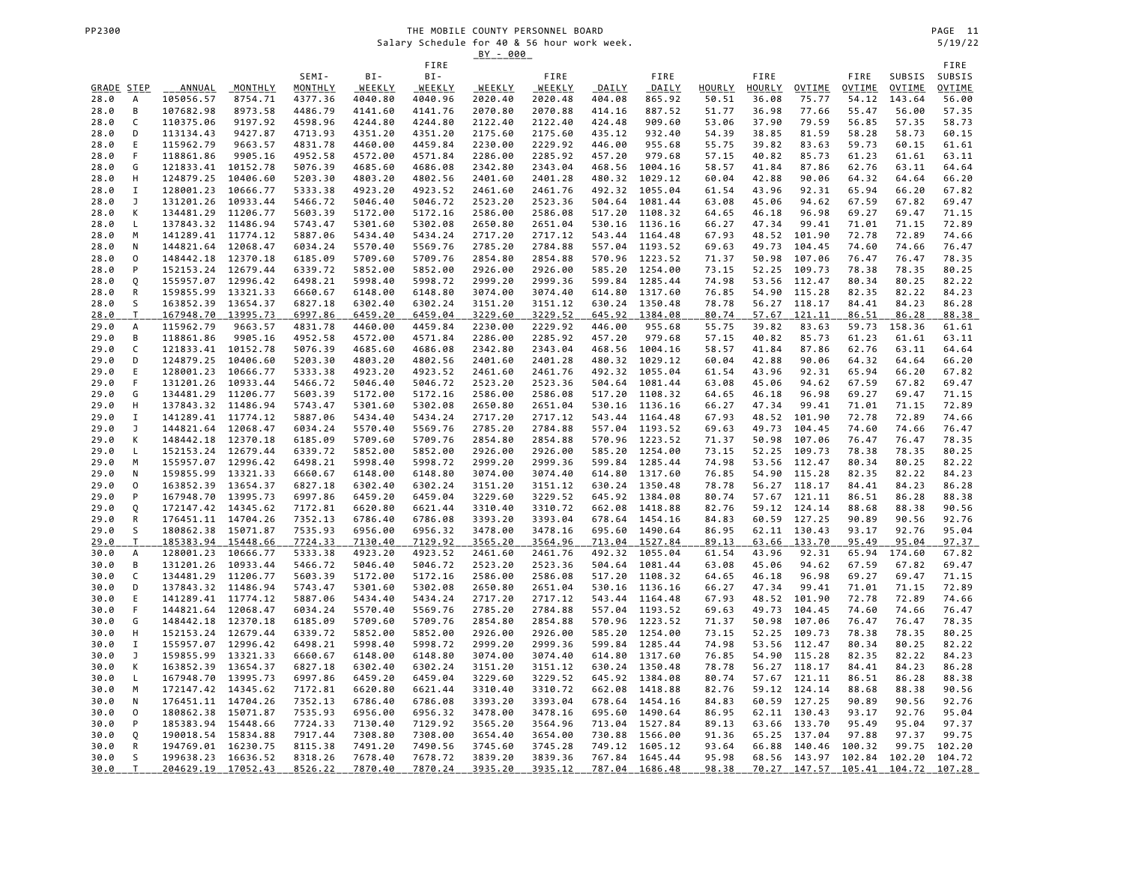|             |                     |                    |          |         |         | FIRE    |         |         |        |                |        |        |              |        |        | FIRE          |
|-------------|---------------------|--------------------|----------|---------|---------|---------|---------|---------|--------|----------------|--------|--------|--------------|--------|--------|---------------|
|             |                     |                    |          | SEMI-   | BI-     | BI-     |         | FIRE    |        | FIRE           |        | FIRE   |              | FIRE   | SUBSIS | SUBSIS        |
| GRADE       | <b>STEP</b>         | ANNUAL             | MONTHLY  | MONTHLY | WEEKLY  | WEEKLY  | WEEKLY  | WEEKLY  | DAILY  | DAILY          | HOURLY | HOURLY | OVTIME       | OVTIME | OVTIME | <b>OVTIME</b> |
| 28.0        | А                   | 105056.57          | 8754.71  | 4377.36 | 4040.80 | 4040.96 | 2020.40 | 2020.48 | 404.08 | 865.92         | 50.51  | 36.08  | 75.77        | 54.12  | 143.64 | 56.00         |
| 28.0        | B                   | 107682.98          | 8973.58  | 4486.79 | 4141.60 | 4141.76 | 2070.80 | 2070.88 | 414.16 | 887.52         | 51.77  | 36.98  | 77.66        | 55.47  | 56.00  | 57.35         |
| 28.0        | C                   | 110375.06          | 9197.92  | 4598.96 | 4244.80 | 4244.80 | 2122.40 | 2122.40 | 424.48 | 909.60         | 53.06  | 37.90  | 79.59        | 56.85  | 57.35  | 58.73         |
| 28.0        | D                   | 113134.43          | 9427.87  | 4713.93 | 4351.20 | 4351.20 | 2175.60 | 2175.60 | 435.12 | 932.40         | 54.39  | 38.85  | 81.59        | 58.28  | 58.73  | 60.15         |
| 28.0        | E                   | 115962.79          | 9663.57  | 4831.78 | 4460.00 | 4459.84 | 2230.00 | 2229.92 | 446.00 | 955.68         | 55.75  | 39.82  | 83.63        | 59.73  | 60.15  | 61.61         |
| 28.0        | F                   | 118861.86          | 9905.16  | 4952.58 | 4572.00 | 4571.84 | 2286.00 | 2285.92 | 457.20 | 979.68         | 57.15  | 40.82  | 85.73        | 61.23  | 61.61  | 63.11         |
| 28.0        | G                   | 121833.41          | 10152.78 | 5076.39 | 4685.60 | 4686.08 | 2342.80 | 2343.04 | 468.56 | 1004.16        | 58.57  | 41.84  | 87.86        | 62.76  | 63.11  | 64.64         |
| 28.0        | H                   | 124879.25          | 10406.60 | 5203.30 | 4803.20 | 4802.56 | 2401.60 | 2401.28 | 480.32 | 1029.12        | 60.04  | 42.88  | 90.06        | 64.32  | 64.64  | 66.20         |
| 28.0        | 1                   | 128001.23          | 10666.77 | 5333.38 | 4923.20 | 4923.52 | 2461.60 | 2461.76 | 492.32 | 1055.04        | 61.54  | 43.96  | 92.31        | 65.94  | 66.20  | 67.82         |
| 28.0        | J                   | 131201.26          | 10933.44 | 5466.72 | 5046.40 | 5046.72 | 2523.20 | 2523.36 | 504.64 | 1081.44        | 63.08  | 45.06  | 94.62        | 67.59  | 67.82  | 69.47         |
| 28.0        | К                   | 134481.29          | 11206.77 | 5603.39 | 5172.00 | 5172.16 | 2586.00 | 2586.08 | 517.20 | 1108.32        | 64.65  | 46.18  | 96.98        | 69.27  | 69.47  | 71.15         |
| 28.0        | L                   | 137843.32 11486.94 |          | 5743.47 | 5301.60 | 5302.08 | 2650.80 | 2651.04 | 530.16 | 1136.16        | 66.27  | 47.34  | 99.41        | 71.01  | 71.15  | 72.89         |
| 28.0        | M                   | 141289.41 11774.12 |          | 5887.06 | 5434.40 | 5434.24 | 2717.20 | 2717.12 | 543.44 | 1164.48        | 67.93  | 48.52  | 101.90       | 72.78  | 72.89  | 74.66         |
| 28.0        | N                   | 144821.64 12068.47 |          | 6034.24 | 5570.40 | 5569.76 | 2785.20 | 2784.88 | 557.04 | 1193.52        | 69.63  | 49.73  | 104.45       | 74.60  | 74.66  | 76.47         |
| 28.0        | $\mathsf{O}\xspace$ | 148442.18          | 12370.18 | 6185.09 | 5709.60 | 5709.76 | 2854.80 | 2854.88 | 570.96 | 1223.52        | 71.37  | 50.98  | 107.06       | 76.47  | 76.47  | 78.35         |
| 28.0        | P                   | 152153.24          | 12679.44 | 6339.72 | 5852.00 | 5852.00 | 2926.00 | 2926.00 | 585.20 | 1254.00        | 73.15  | 52.25  | 109.73       | 78.38  | 78.35  | 80.25         |
| 28.0        | Q                   | 155957.07 12996.42 |          | 6498.21 | 5998.40 | 5998.72 | 2999.20 | 2999.36 | 599.84 | 1285.44        | 74.98  | 53.56  | 112.47       | 80.34  | 80.25  | 82.22         |
| 28.0        | R                   | 159855.99 13321.33 |          | 6660.67 | 6148.00 | 6148.80 | 3074.00 | 3074.40 | 614.80 | 1317.60        | 76.85  | 54.90  | 115.28       | 82.35  | 82.22  | 84.23         |
| 28.0        | S                   | 163852.39 13654.37 |          | 6827.18 | 6302.40 | 6302.24 | 3151.20 | 3151.12 | 630.24 | 1350.48        | 78.78  | 56.27  | 118.17       | 84.41  | 84.23  | 86.28         |
| <u>28.0</u> | T                   | 167948.70          | 13995.73 | 6997.86 | 6459.20 | 6459.04 | 3229.60 | 3229.52 | 645.92 | 1384.08        | 80.74  | 57.67  | 121.11       | 86.51  | 86.28  | 88.38         |
| 29.0        | А                   | 115962.79          | 9663.57  | 4831.78 | 4460.00 | 4459.84 | 2230.00 | 2229.92 | 446.00 | 955.68         | 55.75  | 39.82  | 83.63        | 59.73  | 158.36 | 61.61         |
| 29.0        | B                   | 118861.86          | 9905.16  | 4952.58 | 4572.00 | 4571.84 | 2286.00 | 2285.92 | 457.20 | 979.68         | 57.15  | 40.82  | 85.73        | 61.23  | 61.61  | 63.11         |
| 29.0        | C                   | 121833.41          | 10152.78 | 5076.39 | 4685.60 | 4686.08 | 2342.80 | 2343.04 | 468.56 | 1004.16        | 58.57  | 41.84  | 87.86        | 62.76  | 63.11  | 64.64         |
| 29.0        | D                   | 124879.25          | 10406.60 | 5203.30 | 4803.20 | 4802.56 | 2401.60 | 2401.28 | 480.32 | 1029.12        | 60.04  | 42.88  | 90.06        | 64.32  | 64.64  | 66.20         |
| 29.0        | Ε                   | 128001.23          | 10666.77 | 5333.38 | 4923.20 | 4923.52 | 2461.60 | 2461.76 | 492.32 | 1055.04        | 61.54  | 43.96  | 92.31        | 65.94  | 66.20  | 67.82         |
| 29.0        | F                   | 131201.26          | 10933.44 | 5466.72 | 5046.40 | 5046.72 | 2523.20 | 2523.36 | 504.64 | 1081.44        | 63.08  | 45.06  | 94.62        | 67.59  | 67.82  | 69.47         |
| 29.0        | G                   | 134481.29          | 11206.77 | 5603.39 | 5172.00 | 5172.16 | 2586.00 | 2586.08 | 517.20 | 1108.32        | 64.65  | 46.18  | 96.98        | 69.27  | 69.47  | 71.15         |
| 29.0        | н                   | 137843.32 11486.94 |          | 5743.47 | 5301.60 | 5302.08 | 2650.80 | 2651.04 | 530.16 | 1136.16        | 66.27  | 47.34  | 99.41        | 71.01  | 71.15  | 72.89         |
| 29.0        | 1                   | 141289.41 11774.12 |          | 5887.06 | 5434.40 | 5434.24 | 2717.20 | 2717.12 | 543.44 | 1164.48        | 67.93  | 48.52  | 101.90       | 72.78  | 72.89  | 74.66         |
| 29.0        | J                   | 144821.64 12068.47 |          | 6034.24 | 5570.40 | 5569.76 | 2785.20 | 2784.88 | 557.04 | 1193.52        | 69.63  | 49.73  | 104.45       | 74.60  | 74.66  | 76.47         |
| 29.0        | К                   | 148442.18          | 12370.18 | 6185.09 | 5709.60 | 5709.76 | 2854.80 | 2854.88 | 570.96 | 1223.52        | 71.37  | 50.98  | 107.06       | 76.47  | 76.47  | 78.35         |
| 29.0        | L                   | 152153.24 12679.44 |          | 6339.72 | 5852.00 | 5852.00 | 2926.00 | 2926.00 | 585.20 | 1254.00        | 73.15  | 52.25  | 109.73       | 78.38  | 78.35  | 80.25         |
| 29.0        | M                   | 155957.07 12996.42 |          | 6498.21 | 5998.40 | 5998.72 | 2999.20 | 2999.36 | 599.84 | 1285.44        | 74.98  | 53.56  | 112.47       | 80.34  | 80.25  | 82.22         |
| 29.0        | N                   | 159855.99 13321.33 |          | 6660.67 | 6148.00 | 6148.80 | 3074.00 | 3074.40 | 614.80 | 1317.60        | 76.85  | 54.90  | 115.28       | 82.35  | 82.22  | 84.23         |
| 29.0        | 0                   | 163852.39 13654.37 |          | 6827.18 | 6302.40 | 6302.24 | 3151.20 | 3151.12 | 630.24 | 1350.48        | 78.78  |        | 56.27 118.17 | 84.41  | 84.23  | 86.28         |
| 29.0        | P                   | 167948.70 13995.73 |          | 6997.86 | 6459.20 | 6459.04 | 3229.60 | 3229.52 | 645.92 | 1384.08        | 80.74  |        | 57.67 121.11 | 86.51  | 86.28  | 88.38         |
| 29.0        | Q                   | 172147.42          | 14345.62 | 7172.81 | 6620.80 | 6621.44 | 3310.40 | 3310.72 | 662.08 | 1418.88        | 82.76  | 59.12  | 124.14       | 88.68  | 88.38  | 90.56         |
| 29.0        | R                   | 176451.11 14704.26 |          | 7352.13 | 6786.40 | 6786.08 | 3393.20 | 3393.04 | 678.64 | 1454.16        | 84.83  | 60.59  | 127.25       | 90.89  | 90.56  | 92.76         |
| 29.0        | S                   | 180862.38 15071.87 |          | 7535.93 | 6956.00 | 6956.32 | 3478.00 | 3478.16 | 695.60 | 1490.64        | 86.95  |        | 62.11 130.43 | 93.17  | 92.76  | 95.04         |
| 29.0        | $\mathsf{T}$        | 185383.94 15448.66 |          | 7724.33 | 7130.40 | 7129.92 | 3565.20 | 3564.96 | 713.04 | 1527.84        | 89.13  | 63.66  | 133.70       | 95.49  | 95.04  | 97.37         |
| 30.0        | А                   | 128001.23          | 10666.77 | 5333.38 | 4923.20 | 4923.52 | 2461.60 | 2461.76 | 492.32 | 1055.04        | 61.54  | 43.96  | 92.31        | 65.94  | 174.60 | 67.82         |
| 30.0        | В                   | 131201.26          | 10933.44 | 5466.72 | 5046.40 | 5046.72 | 2523.20 | 2523.36 | 504.64 | 1081.44        | 63.08  | 45.06  | 94.62        | 67.59  | 67.82  | 69.47         |
| 30.0        | C                   | 134481.29          | 11206.77 | 5603.39 | 5172.00 | 5172.16 | 2586.00 | 2586.08 | 517.20 | 1108.32        | 64.65  | 46.18  | 96.98        | 69.27  | 69.47  | 71.15         |
| 30.0        | D                   | 137843.32 11486.94 |          | 5743.47 | 5301.60 | 5302.08 | 2650.80 | 2651.04 | 530.16 | 1136.16        | 66.27  | 47.34  | 99.41        | 71.01  | 71.15  | 72.89         |
| 30.0        | E                   | 141289.41 11774.12 |          | 5887.06 | 5434.40 | 5434.24 | 2717.20 | 2717.12 |        | 543.44 1164.48 | 67.93  | 48.52  | 101.90       | 72.78  | 72.89  | 74.66         |
| 30.0        | F                   | 144821.64 12068.47 |          | 6034.24 | 5570.40 | 5569.76 | 2785.20 | 2784.88 | 557.04 | 1193.52        | 69.63  | 49.73  | 104.45       | 74.60  | 74.66  | 76.47         |
| 30.0        | G                   | 148442.18 12370.18 |          | 6185.09 | 5709.60 | 5709.76 | 2854.80 | 2854.88 | 570.96 | 1223.52        | 71.37  | 50.98  | 107.06       | 76.47  | 76.47  | 78.35         |
| 30.0        | н                   | 152153.24          | 12679.44 | 6339.72 | 5852.00 | 5852.00 | 2926.00 | 2926.00 | 585.20 | 1254.00        | 73.15  | 52.25  | 109.73       | 78.38  | 78.35  | 80.25         |
| 30.0        | $\mathbf I$         | 155957.07 12996.42 |          | 6498.21 | 5998.40 | 5998.72 | 2999.20 | 2999.36 | 599.84 | 1285.44        | 74.98  | 53.56  | 112.47       | 80.34  | 80.25  | 82.22         |
| 30.0        | J                   | 159855.99 13321.33 |          | 6660.67 | 6148.00 | 6148.80 | 3074.00 | 3074.40 | 614.80 | 1317.60        | 76.85  | 54.90  | 115.28       | 82.35  | 82.22  | 84.23         |
| 30.0        | К                   | 163852.39 13654.37 |          | 6827.18 | 6302.40 | 6302.24 | 3151.20 | 3151.12 | 630.24 | 1350.48        | 78.78  | 56.27  | 118.17       | 84.41  | 84.23  | 86.28         |
| 30.0        | L                   | 167948.70 13995.73 |          | 6997.86 | 6459.20 | 6459.04 | 3229.60 | 3229.52 | 645.92 | 1384.08        | 80.74  | 57.67  | 121.11       | 86.51  | 86.28  | 88.38         |
| 30.0        | M                   | 172147.42 14345.62 |          | 7172.81 | 6620.80 | 6621.44 | 3310.40 | 3310.72 | 662.08 | 1418.88        | 82.76  |        | 59.12 124.14 | 88.68  | 88.38  | 90.56         |
| 30.0        | N                   | 176451.11 14704.26 |          | 7352.13 | 6786.40 | 6786.08 | 3393.20 | 3393.04 | 678.64 | 1454.16        | 84.83  |        | 60.59 127.25 | 90.89  | 90.56  | 92.76         |
| 30.0        | 0                   | 180862.38 15071.87 |          | 7535.93 | 6956.00 | 6956.32 | 3478.00 | 3478.16 | 695.60 | 1490.64        | 86.95  |        | 62.11 130.43 | 93.17  | 92.76  | 95.04         |
| 30.0        | P                   | 185383.94 15448.66 |          | 7724.33 | 7130.40 | 7129.92 | 3565.20 | 3564.96 | 713.04 | 1527.84        | 89.13  | 63.66  | 133.70       | 95.49  | 95.04  | 97.37         |
| 30.0        | Q                   | 190018.54 15834.88 |          | 7917.44 | 7308.80 | 7308.00 | 3654.40 | 3654.00 | 730.88 | 1566.00        | 91.36  | 65.25  | 137.04       | 97.88  | 97.37  | 99.75         |
| 30.0        | R                   | 194769.01 16230.75 |          | 8115.38 | 7491.20 | 7490.56 | 3745.60 | 3745.28 | 749.12 | 1605.12        | 93.64  | 66.88  | 140.46       | 100.32 | 99.75  | 102.20        |
| 30.0        | S                   | 199638.23          | 16636.52 | 8318.26 | 7678.40 | 7678.72 | 3839.20 | 3839.36 | 767.84 | 1645.44        | 95.98  | 68.56  | 143.97       | 102.84 | 102.20 | 104.72        |
| 30.0        | T                   | 204629.19 17052.43 |          | 8526.22 | 7870.40 | 7870.24 | 3935.20 | 3935.12 |        | 787.04 1686.48 | 98.38  | 70.27  | 147.57       | 105.41 | 104.72 | 107.28        |